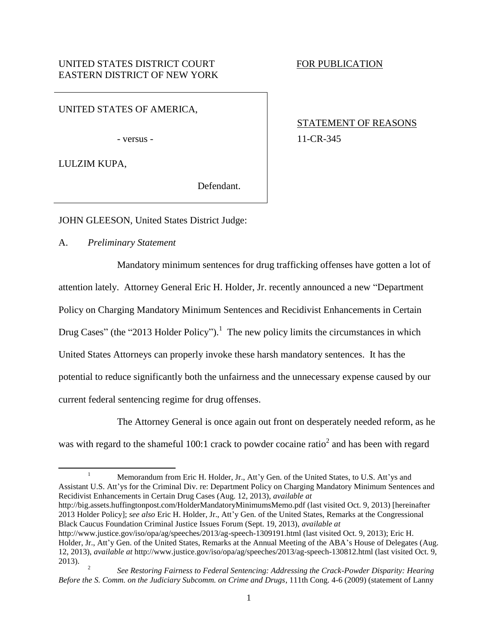UNITED STATES OF AMERICA,

LULZIM KUPA,

<span id="page-0-0"></span> $\overline{a}$ 

<span id="page-0-1"></span>Defendant.

STATEMENT OF REASONS - versus - 11-CR-345

JOHN GLEESON, United States District Judge:

A. *Preliminary Statement*

Mandatory minimum sentences for drug trafficking offenses have gotten a lot of attention lately. Attorney General Eric H. Holder, Jr. recently announced a new "Department Policy on Charging Mandatory Minimum Sentences and Recidivist Enhancements in Certain Drug Cases" (the "2013 Holder Policy").<sup>1</sup> The new policy limits the circumstances in which United States Attorneys can properly invoke these harsh mandatory sentences. It has the potential to reduce significantly both the unfairness and the unnecessary expense caused by our current federal sentencing regime for drug offenses.

The Attorney General is once again out front on desperately needed reform, as he was with regard to the shameful 100:1 crack to powder cocaine ratio<sup>2</sup> and has been with regard

http://big.assets.huffingtonpost.com/HolderMandatoryMinimumsMemo.pdf (last visited Oct. 9, 2013) [hereinafter 2013 Holder Policy]; *see also* Eric H. Holder, Jr., Att'y Gen. of the United States, Remarks at the Congressional Black Caucus Foundation Criminal Justice Issues Forum (Sept. 19, 2013), *available at*

<sup>&</sup>lt;sup>1</sup> Memorandum from Eric H. Holder, Jr., Att'y Gen. of the United States, to U.S. Att'ys and Assistant U.S. Att'ys for the Criminal Div. re: Department Policy on Charging Mandatory Minimum Sentences and Recidivist Enhancements in Certain Drug Cases (Aug. 12, 2013), *available at* 

http://www.justice.gov/iso/opa/ag/speeches/2013/ag-speech-1309191.html (last visited Oct. 9, 2013); Eric H. Holder, Jr., Att'y Gen. of the United States, Remarks at the Annual Meeting of the ABA's House of Delegates (Aug. 12, 2013), *available at* http://www.justice.gov/iso/opa/ag/speeches/2013/ag-speech-130812.html (last visited Oct. 9, 2013).  $\overline{\phantom{a}}$ 

*See Restoring Fairness to Federal Sentencing: Addressing the Crack-Powder Disparity: Hearing Before the S. Comm. on the Judiciary Subcomm. on Crime and Drugs*, 111th Cong. 4-6 (2009) (statement of Lanny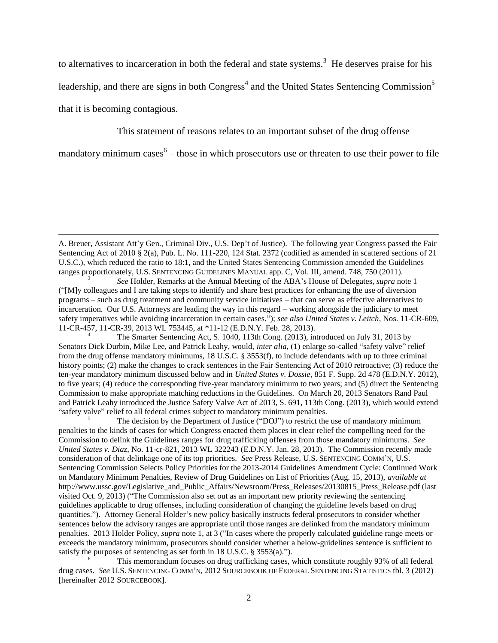to alternatives to incarceration in both the federal and state systems.<sup>3</sup> He deserves praise for his

leadership, and there are signs in both Congress<sup>4</sup> and the United States Sentencing Commission<sup>5</sup>

that it is becoming contagious.

 $\overline{\phantom{a}}$ 

This statement of reasons relates to an important subset of the drug offense

mandatory minimum cases<sup>6</sup> – those in which prosecutors use or threaten to use their power to file

The Smarter Sentencing Act, S. 1040, 113th Cong. (2013), introduced on July 31, 2013 by Senators Dick Durbin, Mike Lee, and Patrick Leahy, would, *inter alia*, (1) enlarge so-called "safety valve" relief from the drug offense mandatory minimums, 18 U.S.C. § 3553(f), to include defendants with up to three criminal history points; (2) make the changes to crack sentences in the Fair Sentencing Act of 2010 retroactive; (3) reduce the ten-year mandatory minimum discussed below and in *United States v. Dossie*, 851 F. Supp. 2d 478 (E.D.N.Y. 2012), to five years; (4) reduce the corresponding five-year mandatory minimum to two years; and (5) direct the Sentencing Commission to make appropriate matching reductions in the Guidelines. On March 20, 2013 Senators Rand Paul and Patrick Leahy introduced the Justice Safety Valve Act of 2013, S. 691, 113th Cong. (2013), which would extend "safety valve" relief to all federal crimes subject to mandatory minimum penalties.

The decision by the Department of Justice ("DOJ") to restrict the use of mandatory minimum penalties to the kinds of cases for which Congress enacted them places in clear relief the compelling need for the Commission to delink the Guidelines ranges for drug trafficking offenses from those mandatory minimums. *See United States v. Diaz*, No. 11-cr-821, 2013 WL 322243 (E.D.N.Y. Jan. 28, 2013). The Commission recently made consideration of that delinkage one of its top priorities. *See* Press Release, U.S. SENTENCING COMM'N, U.S. Sentencing Commission Selects Policy Priorities for the 2013-2014 Guidelines Amendment Cycle: Continued Work on Mandatory Minimum Penalties, Review of Drug Guidelines on List of Priorities (Aug. 15, 2013), *available at* http://www.ussc.gov/Legislative\_and\_Public\_Affairs/Newsroom/Press\_Releases/20130815\_Press\_Release.pdf (last visited Oct. 9, 2013) ("The Commission also set out as an important new priority reviewing the sentencing guidelines applicable to drug offenses, including consideration of changing the guideline levels based on drug quantities."). Attorney General Holder's new policy basically instructs federal prosecutors to consider whether sentences below the advisory ranges are appropriate until those ranges are delinked from the mandatory minimum penalties. 2013 Holder Policy, *supra* note 1, at 3 ("In cases where the properly calculated guideline range meets or exceeds the mandatory minimum, prosecutors should consider whether a below-guidelines sentence is sufficient to satisfy the purposes of sentencing as set forth in 18 U.S.C. § 3553(a).").

<sup>6</sup> This memorandum focuses on drug trafficking cases, which constitute roughly 93% of all federal drug cases. *See* U.S. SENTENCING COMM'N, 2012 SOURCEBOOK OF FEDERAL SENTENCING STATISTICS tbl. 3 (2012) [hereinafter 2012 SOURCEBOOK].

A. Breuer, Assistant Att'y Gen., Criminal Div., U.S. Dep't of Justice). The following year Congress passed the Fair Sentencing Act of 2010 § 2(a), Pub. L. No. 111-220, 124 Stat. 2372 (codified as amended in scattered sections of 21 U.S.C.), which reduced the ratio to 18:1, and the United States Sentencing Commission amended the Guidelines ranges proportionately, U.S. SENTENCING GUIDELINES MANUAL app. C, Vol. III, amend. 748, 750 (2011).

<sup>3</sup> *See* Holder, Remarks at the Annual Meeting of the ABA's House of Delegates, *supra* note 1 ("[M]y colleagues and I are taking steps to identify and share best practices for enhancing the use of diversion programs – such as drug treatment and community service initiatives – that can serve as effective alternatives to incarceration. Our U.S. Attorneys are leading the way in this regard – working alongside the judiciary to meet safety imperatives while avoiding incarceration in certain cases."); *see also United States v. Leitch*, Nos. 11-CR-609, 11-CR-457, 11-CR-39, 2013 WL 753445, at \*11-12 (E.D.N.Y. Feb. 28, 2013).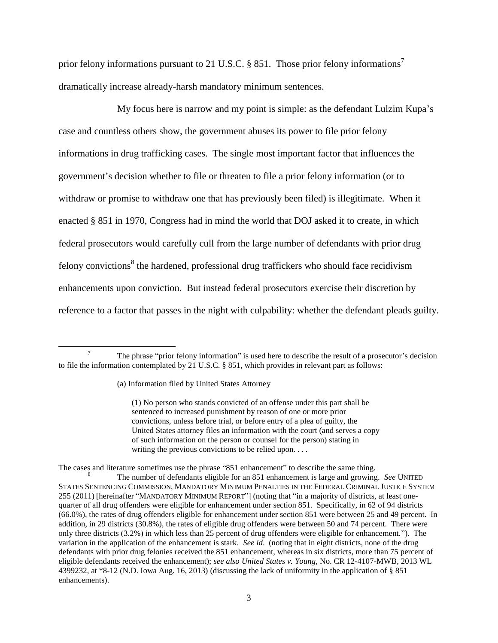prior felony informations pursuant to 21 U.S.C. § 851. Those prior felony informations<sup>7</sup> dramatically increase already-harsh mandatory minimum sentences.

My focus here is narrow and my point is simple: as the defendant Lulzim Kupa's case and countless others show, the government abuses its power to file prior felony informations in drug trafficking cases. The single most important factor that influences the government's decision whether to file or threaten to file a prior felony information (or to withdraw or promise to withdraw one that has previously been filed) is illegitimate. When it enacted § 851 in 1970, Congress had in mind the world that DOJ asked it to create, in which federal prosecutors would carefully cull from the large number of defendants with prior drug felony convictions<sup>8</sup> the hardened, professional drug traffickers who should face recidivism enhancements upon conviction. But instead federal prosecutors exercise their discretion by reference to a factor that passes in the night with culpability: whether the defendant pleads guilty.

<span id="page-2-0"></span> $\overline{\phantom{a}}$ 

(1) No person who stands convicted of an offense under this part shall be sentenced to increased punishment by reason of one or more prior convictions, unless before trial, or before entry of a plea of guilty, the United States attorney files an information with the court (and serves a copy of such information on the person or counsel for the person) stating in writing the previous convictions to be relied upon. . . .

The cases and literature sometimes use the phrase "851 enhancement" to describe the same thing.

<sup>&</sup>lt;sup>7</sup> The phrase "prior felony information" is used here to describe the result of a prosecutor's decision to file the information contemplated by 21 U.S.C. § 851, which provides in relevant part as follows:

<sup>(</sup>a) Information filed by United States Attorney

<sup>8</sup> The number of defendants eligible for an 851 enhancement is large and growing. *See* UNITED STATES SENTENCING COMMISSION, MANDATORY MINIMUM PENALTIES IN THE FEDERAL CRIMINAL JUSTICE SYSTEM 255 (2011) [hereinafter "MANDATORY MINIMUM REPORT"] (noting that "in a majority of districts, at least onequarter of all drug offenders were eligible for enhancement under section 851. Specifically, in 62 of 94 districts (66.0%), the rates of drug offenders eligible for enhancement under section 851 were between 25 and 49 percent. In addition, in 29 districts (30.8%), the rates of eligible drug offenders were between 50 and 74 percent. There were only three districts (3.2%) in which less than 25 percent of drug offenders were eligible for enhancement."). The variation in the application of the enhancement is stark. *See id*. (noting that in eight districts, none of the drug defendants with prior drug felonies received the 851 enhancement, whereas in six districts, more than 75 percent of eligible defendants received the enhancement); *see also United States v. Young,* No. CR 12-4107-MWB, 2013 WL 4399232, at \*8-12 (N.D. Iowa Aug. 16, 2013) (discussing the lack of uniformity in the application of § 851 enhancements).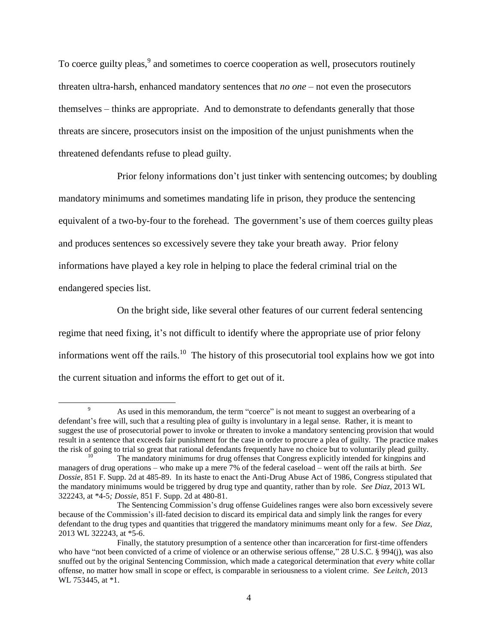To coerce guilty pleas, <sup>9</sup> and sometimes to coerce cooperation as well, prosecutors routinely threaten ultra-harsh, enhanced mandatory sentences that *no one* – not even the prosecutors themselves – thinks are appropriate. And to demonstrate to defendants generally that those threats are sincere, prosecutors insist on the imposition of the unjust punishments when the threatened defendants refuse to plead guilty.

Prior felony informations don't just tinker with sentencing outcomes; by doubling mandatory minimums and sometimes mandating life in prison, they produce the sentencing equivalent of a two-by-four to the forehead. The government's use of them coerces guilty pleas and produces sentences so excessively severe they take your breath away. Prior felony informations have played a key role in helping to place the federal criminal trial on the endangered species list.

On the bright side, like several other features of our current federal sentencing regime that need fixing, it's not difficult to identify where the appropriate use of prior felony informations went off the rails.<sup>10</sup> The history of this prosecutorial tool explains how we got into the current situation and informs the effort to get out of it.

<sup>&</sup>lt;sup>9</sup> As used in this memorandum, the term "coerce" is not meant to suggest an overbearing of a defendant's free will, such that a resulting plea of guilty is involuntary in a legal sense. Rather, it is meant to suggest the use of prosecutorial power to invoke or threaten to invoke a mandatory sentencing provision that would result in a sentence that exceeds fair punishment for the case in order to procure a plea of guilty. The practice makes the risk of going to trial so great that rational defendants frequently have no choice but to voluntarily plead guilty.

The mandatory minimums for drug offenses that Congress explicitly intended for kingpins and managers of drug operations – who make up a mere 7% of the federal caseload – went off the rails at birth. *See Dossie*, 851 F. Supp. 2d at 485-89. In its haste to enact the Anti-Drug Abuse Act of 1986, Congress stipulated that the mandatory minimums would be triggered by drug type and quantity, rather than by role. *See Diaz*, 2013 WL 322243, at \*4-5*; Dossie*, 851 F. Supp. 2d at 480-81.

The Sentencing Commission's drug offense Guidelines ranges were also born excessively severe because of the Commission's ill-fated decision to discard its empirical data and simply link the ranges for every defendant to the drug types and quantities that triggered the mandatory minimums meant only for a few. *See Diaz*, 2013 WL 322243, at \*5-6.

Finally, the statutory presumption of a sentence other than incarceration for first-time offenders who have "not been convicted of a crime of violence or an otherwise serious offense," 28 U.S.C. § 994(j), was also snuffed out by the original Sentencing Commission, which made a categorical determination that *every* white collar offense, no matter how small in scope or effect, is comparable in seriousness to a violent crime. *See Leitch*, 2013 WL 753445, at \*1.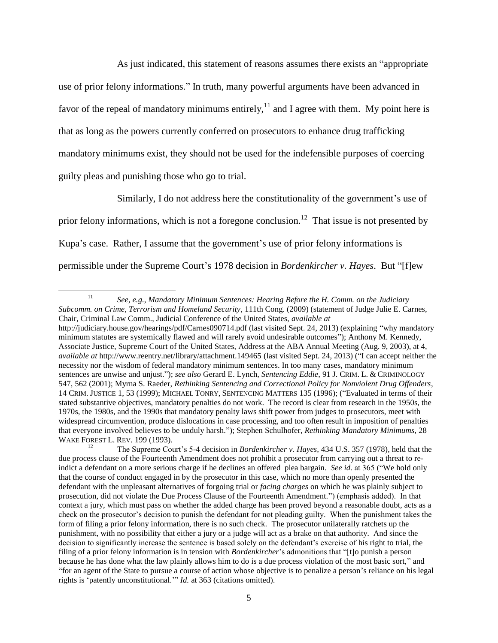<span id="page-4-0"></span>As just indicated, this statement of reasons assumes there exists an "appropriate use of prior felony informations." In truth, many powerful arguments have been advanced in favor of the repeal of mandatory minimums entirely,<sup>11</sup> and I agree with them. My point here is that as long as the powers currently conferred on prosecutors to enhance drug trafficking mandatory minimums exist, they should not be used for the indefensible purposes of coercing guilty pleas and punishing those who go to trial.

Similarly, I do not address here the constitutionality of the government's use of prior felony informations, which is not a foregone conclusion.<sup>12</sup> That issue is not presented by Kupa's case. Rather, I assume that the government's use of prior felony informations is permissible under the Supreme Court's 1978 decision in *Bordenkircher v. Hayes*. But "[f]ew

 $\overline{\phantom{a}}$ <sup>11</sup> *See, e.g.*, *Mandatory Minimum Sentences: Hearing Before the H. Comm. on the Judiciary Subcomm. on Crime, Terrorism and Homeland Security*, 111th Cong. (2009) (statement of Judge Julie E. Carnes, Chair, Criminal Law Comm., Judicial Conference of the United States, *available at*  http://judiciary.house.gov/hearings/pdf/Carnes090714.pdf (last visited Sept. 24, 2013) (explaining "why mandatory minimum statutes are systemically flawed and will rarely avoid undesirable outcomes"); Anthony M. Kennedy, Associate Justice, Supreme Court of the United States, Address at the ABA Annual Meeting (Aug. 9, 2003), at 4, *available at* http://www.reentry.net/library/attachment.149465 (last visited Sept. 24, 2013) ("I can accept neither the necessity nor the wisdom of federal mandatory minimum sentences. In too many cases, mandatory minimum sentences are unwise and unjust."); *see also* Gerard E. Lynch, *Sentencing Eddie*, 91 J. CRIM. L. & CRIMINOLOGY 547, 562 (2001); Myrna S. Raeder, *Rethinking Sentencing and Correctional Policy for Nonviolent Drug Offenders*, 14 CRIM. JUSTICE 1, 53 (1999); MICHAEL TONRY, SENTENCING MATTERS 135 (1996); ("Evaluated in terms of their stated substantive objectives, mandatory penalties do not work. The record is clear from research in the 1950s, the 1970s, the 1980s, and the 1990s that mandatory penalty laws shift power from judges to prosecutors, meet with widespread circumvention, produce dislocations in case processing, and too often result in imposition of penalties that everyone involved believes to be unduly harsh."); Stephen Schulhofer, *Rethinking Mandatory Minimums*, 28 WAKE FOREST L. REV. 199 (1993).

<sup>12</sup> The Supreme Court's 5-4 decision in *Bordenkircher v. Hayes,* 434 U.S. 357 (1978), held that the due process clause of the Fourteenth Amendment does not prohibit a prosecutor from carrying out a threat to reindict a defendant on a more serious charge if he declines an offered plea bargain. *See id.* at 365 ("We hold only that the course of conduct engaged in by the prosecutor in this case, which no more than openly presented the defendant with the unpleasant alternatives of forgoing trial or *facing charges* on which he was plainly subject to prosecution, did not violate the Due Process Clause of the Fourteenth Amendment.") (emphasis added). In that context a jury, which must pass on whether the added charge has been proved beyond a reasonable doubt, acts as a check on the prosecutor's decision to punish the defendant for not pleading guilty. When the punishment takes the form of filing a prior felony information, there is no such check. The prosecutor unilaterally ratchets up the punishment, with no possibility that either a jury or a judge will act as a brake on that authority. And since the decision to significantly increase the sentence is based solely on the defendant's exercise of his right to trial, the filing of a prior felony information is in tension with *Bordenkircher*'s admonitions that "[t]o punish a person because he has done what the law plainly allows him to do is a due process violation of the most basic sort," and "for an agent of the State to pursue a course of action whose objective is to penalize a person's reliance on his legal rights is 'patently unconstitutional.'" *Id.* at 363 (citations omitted).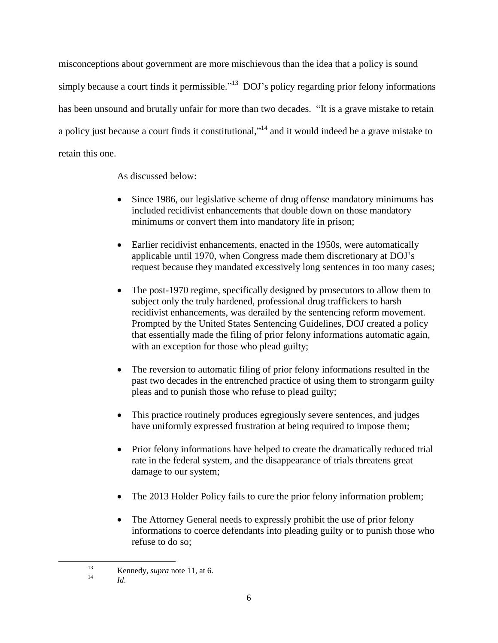misconceptions about government are more mischievous than the idea that a policy is sound simply because a court finds it permissible."<sup>13</sup> DOJ's policy regarding prior felony informations has been unsound and brutally unfair for more than two decades. "It is a grave mistake to retain a policy just because a court finds it constitutional,"<sup>14</sup> and it would indeed be a grave mistake to retain this one.

As discussed below:

- Since 1986, our legislative scheme of drug offense mandatory minimums has included recidivist enhancements that double down on those mandatory minimums or convert them into mandatory life in prison;
- Earlier recidivist enhancements, enacted in the 1950s, were automatically applicable until 1970, when Congress made them discretionary at DOJ's request because they mandated excessively long sentences in too many cases;
- The post-1970 regime, specifically designed by prosecutors to allow them to subject only the truly hardened, professional drug traffickers to harsh recidivist enhancements, was derailed by the sentencing reform movement. Prompted by the United States Sentencing Guidelines, DOJ created a policy that essentially made the filing of prior felony informations automatic again, with an exception for those who plead guilty;
- The reversion to automatic filing of prior felony informations resulted in the past two decades in the entrenched practice of using them to strongarm guilty pleas and to punish those who refuse to plead guilty;
- This practice routinely produces egregiously severe sentences, and judges have uniformly expressed frustration at being required to impose them;
- Prior felony informations have helped to create the dramatically reduced trial rate in the federal system, and the disappearance of trials threatens great damage to our system;
- The 2013 Holder Policy fails to cure the prior felony information problem;
- The Attorney General needs to expressly prohibit the use of prior felony informations to coerce defendants into pleading guilty or to punish those who refuse to do so;

<sup>14</sup> *Id*.

<sup>&</sup>lt;sup>13</sup><br>Kennedy, *supra* note [11,](#page-4-0) at 6.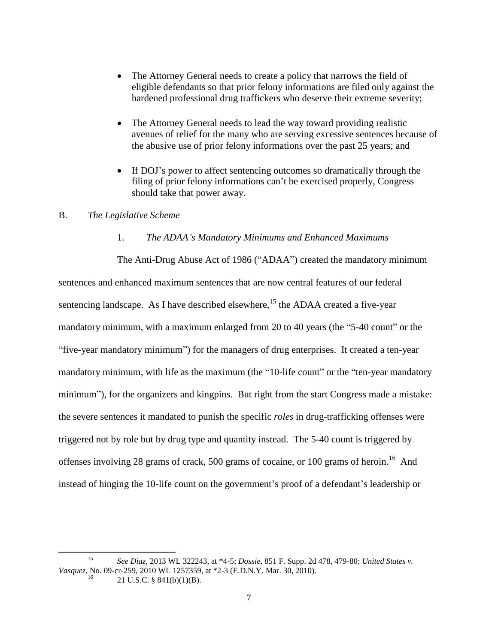- The Attorney General needs to create a policy that narrows the field of eligible defendants so that prior felony informations are filed only against the hardened professional drug traffickers who deserve their extreme severity;
- The Attorney General needs to lead the way toward providing realistic avenues of relief for the many who are serving excessive sentences because of the abusive use of prior felony informations over the past 25 years; and
- If DOJ's power to affect sentencing outcomes so dramatically through the filing of prior felony informations can't be exercised properly, Congress should take that power away.

# B. *The Legislative Scheme*

#### 1. *The ADAA's Mandatory Minimums and Enhanced Maximums*

The Anti-Drug Abuse Act of 1986 ("ADAA") created the mandatory minimum sentences and enhanced maximum sentences that are now central features of our federal sentencing landscape. As I have described elsewhere,<sup>15</sup> the ADAA created a five-year mandatory minimum, with a maximum enlarged from 20 to 40 years (the "5-40 count" or the "five-year mandatory minimum") for the managers of drug enterprises. It created a ten-year mandatory minimum, with life as the maximum (the "10-life count" or the "ten-year mandatory minimum"), for the organizers and kingpins. But right from the start Congress made a mistake: the severe sentences it mandated to punish the specific *roles* in drug-trafficking offenses were triggered not by role but by drug type and quantity instead. The 5-40 count is triggered by offenses involving 28 grams of crack, 500 grams of cocaine, or 100 grams of heroin.<sup>16</sup> And instead of hinging the 10-life count on the government's proof of a defendant's leadership or

 $\overline{\phantom{a}}$ <sup>15</sup> *See Diaz*, 2013 WL 322243, at \*4-5; *Dossie*, 851 F. Supp. 2d 478, 479-80; *United States v. Vasquez*, No. 09-cr-259, 2010 WL 1257359, at \*2-3 (E.D.N.Y. Mar. 30, 2010).

<sup>21</sup> U.S.C. § 841(b)(1)(B).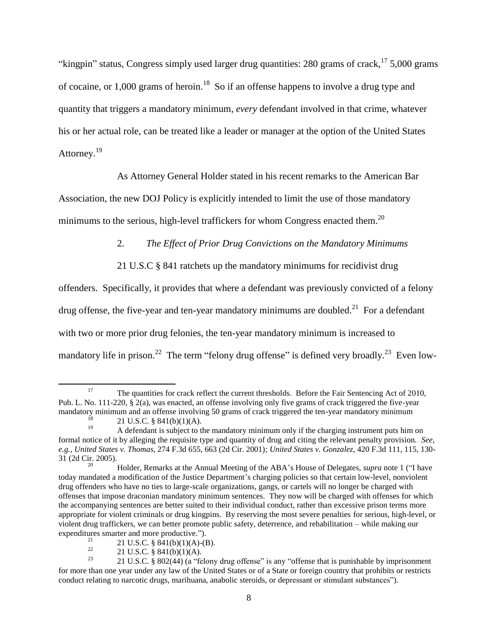"kingpin" status, Congress simply used larger drug quantities: 280 grams of crack,  $17\frac{5,000}{2}$  grams of cocaine, or  $1,000$  grams of heroin.<sup>18</sup> So if an offense happens to involve a drug type and quantity that triggers a mandatory minimum, *every* defendant involved in that crime, whatever his or her actual role, can be treated like a leader or manager at the option of the United States Attorney.<sup>19</sup>

As Attorney General Holder stated in his recent remarks to the American Bar

Association, the new DOJ Policy is explicitly intended to limit the use of those mandatory minimums to the serious, high-level traffickers for whom Congress enacted them.<sup>20</sup>

2. *The Effect of Prior Drug Convictions on the Mandatory Minimums*

21 U.S.C § 841 ratchets up the mandatory minimums for recidivist drug

offenders. Specifically, it provides that where a defendant was previously convicted of a felony drug offense, the five-year and ten-year mandatory minimums are doubled.<sup>21</sup> For a defendant with two or more prior drug felonies, the ten-year mandatory minimum is increased to mandatory life in prison.<sup>22</sup> The term "felony drug offense" is defined very broadly.<sup>23</sup> Even low-

l

<sup>&</sup>lt;sup>17</sup> The quantities for crack reflect the current thresholds. Before the Fair Sentencing Act of 2010, Pub. L. No. 111-220, § 2(a), was enacted, an offense involving only five grams of crack triggered the five-year mandatory minimum and an offense involving 50 grams of crack triggered the ten-year mandatory minimum

<sup>&</sup>lt;sup>18</sup> 21 U.S.C. § 841(b)(1)(A).

<sup>19</sup> A defendant is subject to the mandatory minimum only if the charging instrument puts him on formal notice of it by alleging the requisite type and quantity of drug and citing the relevant penalty provision. *See, e.g.*, *United States v. Thomas*, 274 F.3d 655, 663 (2d Cir. 2001); *United States v. Gonzalez*, 420 F.3d 111, 115, 130- 31 (2d Cir. 2005).

<sup>20</sup> Holder, Remarks at the Annual Meeting of the ABA's House of Delegates, *supra* note 1 ("I have today mandated a modification of the Justice Department's charging policies so that certain low-level, nonviolent drug offenders who have no ties to large-scale organizations, gangs, or cartels will no longer be charged with offenses that impose draconian mandatory minimum sentences. They now will be charged with offenses for which the accompanying sentences are better suited to their individual conduct, rather than excessive prison terms more appropriate for violent criminals or drug kingpins. By reserving the most severe penalties for serious, high-level, or violent drug traffickers, we can better promote public safety, deterrence, and rehabilitation – while making our expenditures smarter and more productive.").

<sup>&</sup>lt;sup>21</sup> 21 U.S.C. § 841(b)(1)(A)-(B).<br><sup>22</sup> 21 U.S.C. § 841(b)(1)(A)

<sup>&</sup>lt;sup>22</sup> 21 U.S.C. § 841(b)(1)(A).<br><sup>23</sup> 21 U.S.C. § 802(44) (a "fal

<sup>23</sup> 21 U.S.C. § 802(44) (a "felony drug offense" is any "offense that is punishable by imprisonment for more than one year under any law of the United States or of a State or foreign country that prohibits or restricts conduct relating to narcotic drugs, marihuana, anabolic steroids, or depressant or stimulant substances").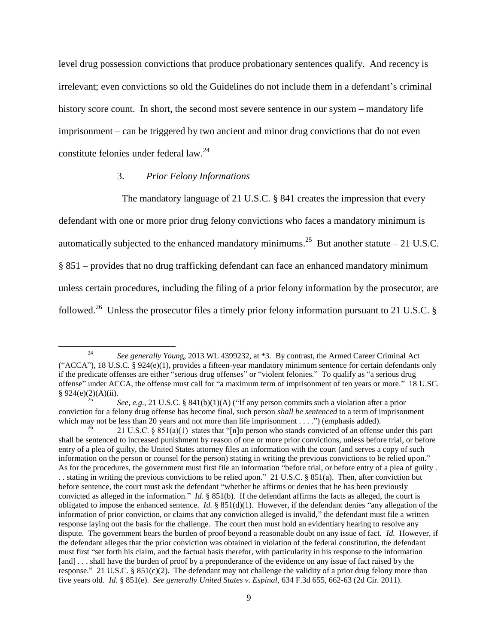level drug possession convictions that produce probationary sentences qualify. And recency is irrelevant; even convictions so old the Guidelines do not include them in a defendant's criminal history score count. In short, the second most severe sentence in our system – mandatory life imprisonment – can be triggered by two ancient and minor drug convictions that do not even constitute felonies under federal law.<sup>24</sup>

## 3. *Prior Felony Informations*

 $\overline{\phantom{a}}$ 

The mandatory language of 21 U.S.C. § 841 creates the impression that every

defendant with one or more prior drug felony convictions who faces a mandatory minimum is automatically subjected to the enhanced mandatory minimums.<sup>25</sup> But another statute  $-21$  U.S.C. § 851 – provides that no drug trafficking defendant can face an enhanced mandatory minimum unless certain procedures, including the filing of a prior felony information by the prosecutor, are followed.<sup>26</sup> Unless the prosecutor files a timely prior felony information pursuant to 21 U.S.C. §

<sup>24</sup> *See generally Youn*g, 2013 WL 4399232, at \*3. By contrast, the Armed Career Criminal Act ("ACCA"), 18 U.S.C. § 924(e)(1), provides a fifteen-year mandatory minimum sentence for certain defendants only if the predicate offenses are either "serious drug offenses" or "violent felonies." To qualify as "a serious drug offense" under ACCA, the offense must call for "a maximum term of imprisonment of ten years or more." 18 U.SC. § 924(e)(2)(A)(ii).

*See, e.g.*, 21 U.S.C. § 841(b)(1)(A) ("If any person commits such a violation after a prior conviction for a felony drug offense has become final, such person *shall be sentenced* to a term of imprisonment which may not be less than 20 years and not more than life imprisonment  $\dots$ .  $\ddot{ }$  (emphasis added).

<sup>21</sup> U.S.C. § 851(a)(1) states that "[n]o person who stands convicted of an offense under this part shall be sentenced to increased punishment by reason of one or more prior convictions, unless before trial, or before entry of a plea of guilty, the United States attorney files an information with the court (and serves a copy of such information on the person or counsel for the person) stating in writing the previous convictions to be relied upon." As for the procedures, the government must first file an information "before trial, or before entry of a plea of guilty . . . stating in writing the previous convictions to be relied upon." 21 U.S.C. § 851(a). Then, after conviction but before sentence, the court must ask the defendant "whether he affirms or denies that he has been previously convicted as alleged in the information." *Id.* § 851(b). If the defendant affirms the facts as alleged, the court is obligated to impose the enhanced sentence. *Id.* § 851(d)(1). However, if the defendant denies "any allegation of the information of prior conviction, or claims that any conviction alleged is invalid," the defendant must file a written response laying out the basis for the challenge. The court then must hold an evidentiary hearing to resolve any dispute. The government bears the burden of proof beyond a reasonable doubt on any issue of fact. *Id.* However, if the defendant alleges that the prior conviction was obtained in violation of the federal constitution, the defendant must first "set forth his claim, and the factual basis therefor, with particularity in his response to the information [and] . . . shall have the burden of proof by a preponderance of the evidence on any issue of fact raised by the response." 21 U.S.C. § 851(c)(2). The defendant may not challenge the validity of a prior drug felony more than five years old. *Id.* § 851(e). *See generally United States v. Espinal*, 634 F.3d 655, 662-63 (2d Cir. 2011).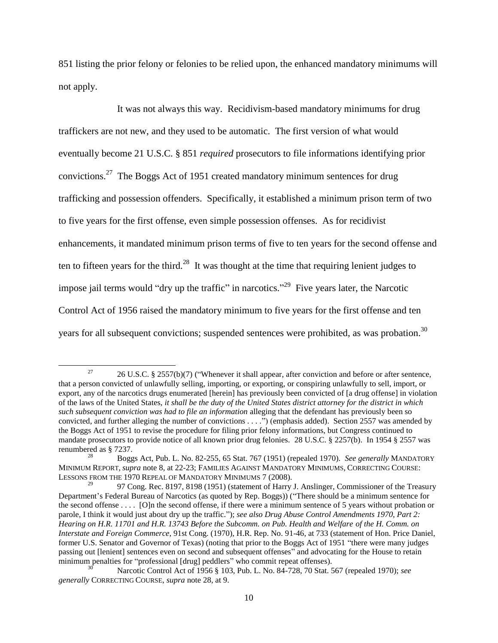851 listing the prior felony or felonies to be relied upon, the enhanced mandatory minimums will not apply.

It was not always this way. Recidivism-based mandatory minimums for drug traffickers are not new, and they used to be automatic. The first version of what would eventually become 21 U.S.C. § 851 *required* prosecutors to file informations identifying prior convictions.<sup>27</sup> The Boggs Act of 1951 created mandatory minimum sentences for drug trafficking and possession offenders. Specifically, it established a minimum prison term of two to five years for the first offense, even simple possession offenses. As for recidivist enhancements, it mandated minimum prison terms of five to ten years for the second offense and ten to fifteen years for the third.<sup>28</sup> It was thought at the time that requiring lenient judges to impose jail terms would "dry up the traffic" in narcotics."<sup>29</sup> Five years later, the Narcotic Control Act of 1956 raised the mandatory minimum to five years for the first offense and ten years for all subsequent convictions; suspended sentences were prohibited, as was probation.<sup>30</sup>

<span id="page-9-0"></span><sup>&</sup>lt;sup>27</sup> 26 U.S.C. § 2557(b)(7) ("Whenever it shall appear, after conviction and before or after sentence, that a person convicted of unlawfully selling, importing, or exporting, or conspiring unlawfully to sell, import, or export, any of the narcotics drugs enumerated [herein] has previously been convicted of [a drug offense] in violation of the laws of the United States, *it shall be the duty of the United States district attorney for the district in which such subsequent conviction was had to file an information* alleging that the defendant has previously been so convicted, and further alleging the number of convictions . . . .") (emphasis added). Section 2557 was amended by the Boggs Act of 1951 to revise the procedure for filing prior felony informations, but Congress continued to mandate prosecutors to provide notice of all known prior drug felonies. 28 U.S.C. § 2257(b). In 1954 § 2557 was renumbered as § 7237.

<sup>28</sup> Boggs Act, Pub. L. No. 82-255, 65 Stat. 767 (1951) (repealed 1970). *See generally* MANDATORY MINIMUM REPORT, *supra* note [8,](#page-2-0) at 22-23; FAMILIES AGAINST MANDATORY MINIMUMS, CORRECTING COURSE: LESSONS FROM THE 1970 REPEAL OF MANDATORY MINIMUMS 7 (2008).

<sup>29</sup> 97 Cong. Rec. 8197, 8198 (1951) (statement of Harry J. Anslinger, Commissioner of the Treasury Department's Federal Bureau of Narcotics (as quoted by Rep. Boggs)) ("There should be a minimum sentence for the second offense . . . . [O]n the second offense, if there were a minimum sentence of 5 years without probation or parole, I think it would just about dry up the traffic."); *see also Drug Abuse Control Amendments 1970, Part 2: Hearing on H.R. 11701 and H.R. 13743 Before the Subcomm. on Pub. Health and Welfare of the H. Comm. on Interstate and Foreign Commerce*, 91st Cong. (1970), H.R. Rep. No. 91-46, at 733 (statement of Hon. Price Daniel, former U.S. Senator and Governor of Texas) (noting that prior to the Boggs Act of 1951 "there were many judges passing out [lenient] sentences even on second and subsequent offenses" and advocating for the House to retain minimum penalties for "professional [drug] peddlers" who commit repeat offenses).

<sup>30</sup> Narcotic Control Act of 1956 § 103, Pub. L. No. 84-728, 70 Stat. 567 (repealed 1970); *see generally* CORRECTING COURSE, *supra* not[e 28,](#page-9-0) at 9.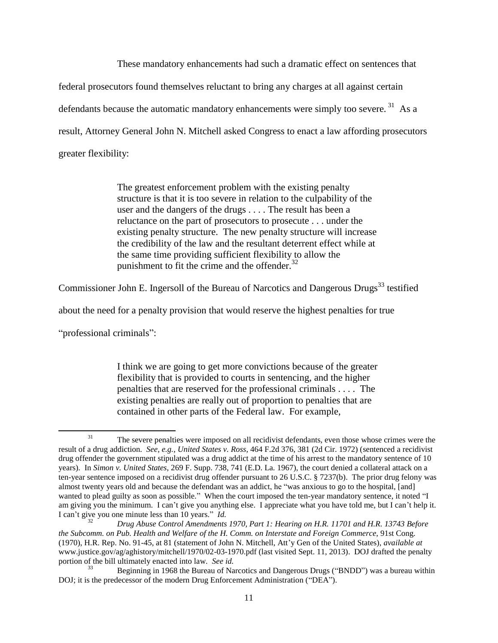These mandatory enhancements had such a dramatic effect on sentences that federal prosecutors found themselves reluctant to bring any charges at all against certain defendants because the automatic mandatory enhancements were simply too severe.<sup>31</sup> As a result, Attorney General John N. Mitchell asked Congress to enact a law affording prosecutors greater flexibility:

> <span id="page-10-0"></span>The greatest enforcement problem with the existing penalty structure is that it is too severe in relation to the culpability of the user and the dangers of the drugs . . . . The result has been a reluctance on the part of prosecutors to prosecute . . . under the existing penalty structure. The new penalty structure will increase the credibility of the law and the resultant deterrent effect while at the same time providing sufficient flexibility to allow the punishment to fit the crime and the offender. $32$

Commissioner John E. Ingersoll of the Bureau of Narcotics and Dangerous Drugs<sup>33</sup> testified

about the need for a penalty provision that would reserve the highest penalties for true

"professional criminals":

 $\overline{\phantom{a}}$ 

I think we are going to get more convictions because of the greater flexibility that is provided to courts in sentencing, and the higher penalties that are reserved for the professional criminals . . . . The existing penalties are really out of proportion to penalties that are contained in other parts of the Federal law. For example,

<sup>31</sup> The severe penalties were imposed on all recidivist defendants, even those whose crimes were the result of a drug addiction. *See, e.g.*, *United States v. Ross*, 464 F.2d 376, 381 (2d Cir. 1972) (sentenced a recidivist drug offender the government stipulated was a drug addict at the time of his arrest to the mandatory sentence of 10 years). In *Simon v. United States*, 269 F. Supp. 738, 741 (E.D. La. 1967), the court denied a collateral attack on a ten-year sentence imposed on a recidivist drug offender pursuant to 26 U.S.C. § 7237(b). The prior drug felony was almost twenty years old and because the defendant was an addict, he "was anxious to go to the hospital, [and] wanted to plead guilty as soon as possible." When the court imposed the ten-year mandatory sentence, it noted "I am giving you the minimum. I can't give you anything else. I appreciate what you have told me, but I can't help it. I can't give you one minute less than 10 years." *Id.*

<sup>32</sup> *Drug Abuse Control Amendments 1970, Part 1: Hearing on H.R. 11701 and H.R. 13743 Before the Subcomm. on Pub. Health and Welfare of the H. Comm. on Interstate and Foreign Commerce*, 91st Cong. (1970), H.R. Rep. No. 91-45, at 81 (statement of John N. Mitchell, Att'y Gen of the United States), *available at* www.justice.gov/ag/aghistory/mitchell/1970/02-03-1970.pdf (last visited Sept. 11, 2013). DOJ drafted the penalty portion of the bill ultimately enacted into law. *See id.* 

Beginning in 1968 the Bureau of Narcotics and Dangerous Drugs ("BNDD") was a bureau within DOJ; it is the predecessor of the modern Drug Enforcement Administration ("DEA").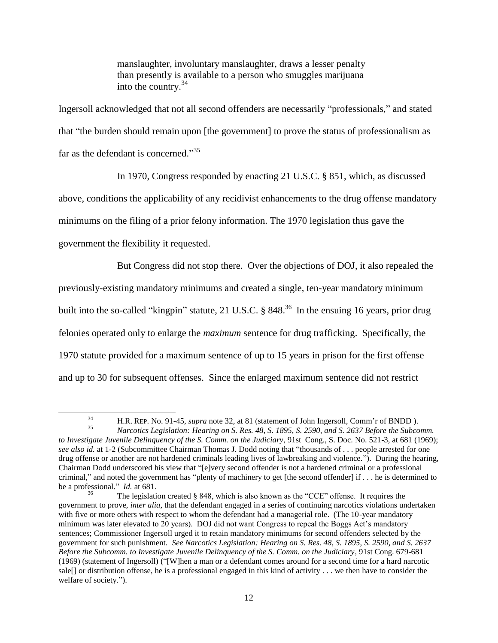manslaughter, involuntary manslaughter, draws a lesser penalty than presently is available to a person who smuggles marijuana into the country.<sup>34</sup>

Ingersoll acknowledged that not all second offenders are necessarily "professionals," and stated that "the burden should remain upon [the government] to prove the status of professionalism as far as the defendant is concerned."<sup>35</sup>

In 1970, Congress responded by enacting 21 U.S.C. § 851, which, as discussed

above, conditions the applicability of any recidivist enhancements to the drug offense mandatory

minimums on the filing of a prior felony information. The 1970 legislation thus gave the

government the flexibility it requested.

 $\overline{a}$ 

But Congress did not stop there. Over the objections of DOJ, it also repealed the previously-existing mandatory minimums and created a single, ten-year mandatory minimum built into the so-called "kingpin" statute, 21 U.S.C. § 848.<sup>36</sup> In the ensuing 16 years, prior drug felonies operated only to enlarge the *maximum* sentence for drug trafficking. Specifically, the 1970 statute provided for a maximum sentence of up to 15 years in prison for the first offense and up to 30 for subsequent offenses. Since the enlarged maximum sentence did not restrict

<sup>34</sup> H.R. REP. No. 91-45, *supra* not[e 32,](#page-10-0) at 81 (statement of John Ingersoll, Comm'r of BNDD ).

<sup>35</sup> *Narcotics Legislation: Hearing on S. Res. 48, S. 1895, S. 2590, and S. 2637 Before the Subcomm. to Investigate Juvenile Delinquency of the S. Comm. on the Judiciary*, 91st Cong., S. Doc. No. 521-3, at 681 (1969); *see also id.* at 1-2 (Subcommittee Chairman Thomas J. Dodd noting that "thousands of . . . people arrested for one drug offense or another are not hardened criminals leading lives of lawbreaking and violence."). During the hearing, Chairman Dodd underscored his view that "[e]very second offender is not a hardened criminal or a professional criminal," and noted the government has "plenty of machinery to get [the second offender] if . . . he is determined to be a professional." *Id.* at 681.

The legislation created § 848, which is also known as the "CCE" offense. It requires the government to prove, *inter alia*, that the defendant engaged in a series of continuing narcotics violations undertaken with five or more others with respect to whom the defendant had a managerial role. (The 10-year mandatory minimum was later elevated to 20 years). DOJ did not want Congress to repeal the Boggs Act's mandatory sentences; Commissioner Ingersoll urged it to retain mandatory minimums for second offenders selected by the government for such punishment. *See Narcotics Legislation: Hearing on S. Res. 48, S. 1895, S. 2590, and S. 2637 Before the Subcomm. to Investigate Juvenile Delinquency of the S. Comm. on the Judiciary*, 91st Cong. 679-681 (1969) (statement of Ingersoll) ("[W]hen a man or a defendant comes around for a second time for a hard narcotic sale[] or distribution offense, he is a professional engaged in this kind of activity . . . we then have to consider the welfare of society.").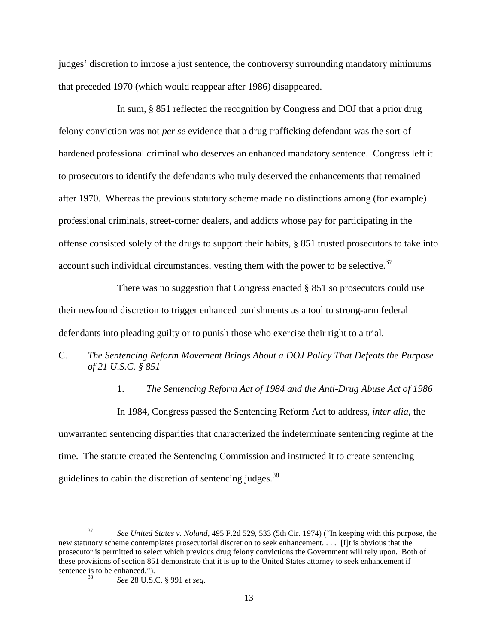judges' discretion to impose a just sentence, the controversy surrounding mandatory minimums that preceded 1970 (which would reappear after 1986) disappeared.

In sum, § 851 reflected the recognition by Congress and DOJ that a prior drug felony conviction was not *per se* evidence that a drug trafficking defendant was the sort of hardened professional criminal who deserves an enhanced mandatory sentence. Congress left it to prosecutors to identify the defendants who truly deserved the enhancements that remained after 1970. Whereas the previous statutory scheme made no distinctions among (for example) professional criminals, street-corner dealers, and addicts whose pay for participating in the offense consisted solely of the drugs to support their habits, § 851 trusted prosecutors to take into account such individual circumstances, vesting them with the power to be selective.<sup>37</sup>

There was no suggestion that Congress enacted § 851 so prosecutors could use their newfound discretion to trigger enhanced punishments as a tool to strong-arm federal defendants into pleading guilty or to punish those who exercise their right to a trial.

C*. The Sentencing Reform Movement Brings About a DOJ Policy That Defeats the Purpose of 21 U.S.C. § 851* 

1. *The Sentencing Reform Act of 1984 and the Anti-Drug Abuse Act of 1986*

In 1984, Congress passed the Sentencing Reform Act to address, *inter alia*, the unwarranted sentencing disparities that characterized the indeterminate sentencing regime at the time. The statute created the Sentencing Commission and instructed it to create sentencing guidelines to cabin the discretion of sentencing judges.<sup>38</sup>

l

<sup>37</sup> *See United States v. Noland*, 495 F.2d 529, 533 (5th Cir. 1974) ("In keeping with this purpose, the new statutory scheme contemplates prosecutorial discretion to seek enhancement. . . . [I]t is obvious that the prosecutor is permitted to select which previous drug felony convictions the Government will rely upon. Both of these provisions of section 851 demonstrate that it is up to the United States attorney to seek enhancement if sentence is to be enhanced.").

<sup>38</sup> *See* 28 U.S.C. § 991 *et seq*.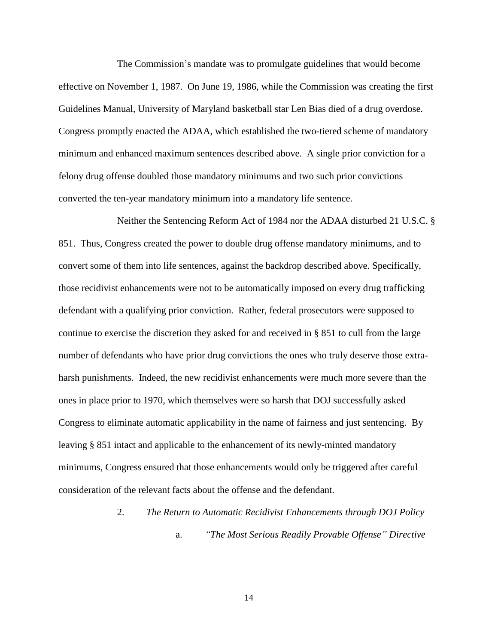The Commission's mandate was to promulgate guidelines that would become effective on November 1, 1987. On June 19, 1986, while the Commission was creating the first Guidelines Manual, University of Maryland basketball star Len Bias died of a drug overdose. Congress promptly enacted the ADAA, which established the two-tiered scheme of mandatory minimum and enhanced maximum sentences described above. A single prior conviction for a felony drug offense doubled those mandatory minimums and two such prior convictions converted the ten-year mandatory minimum into a mandatory life sentence.

Neither the Sentencing Reform Act of 1984 nor the ADAA disturbed 21 U.S.C. § 851. Thus, Congress created the power to double drug offense mandatory minimums, and to convert some of them into life sentences, against the backdrop described above. Specifically, those recidivist enhancements were not to be automatically imposed on every drug trafficking defendant with a qualifying prior conviction. Rather, federal prosecutors were supposed to continue to exercise the discretion they asked for and received in § 851 to cull from the large number of defendants who have prior drug convictions the ones who truly deserve those extraharsh punishments. Indeed, the new recidivist enhancements were much more severe than the ones in place prior to 1970, which themselves were so harsh that DOJ successfully asked Congress to eliminate automatic applicability in the name of fairness and just sentencing. By leaving § 851 intact and applicable to the enhancement of its newly-minted mandatory minimums, Congress ensured that those enhancements would only be triggered after careful consideration of the relevant facts about the offense and the defendant.

> 2. *The Return to Automatic Recidivist Enhancements through DOJ Policy* a. *"The Most Serious Readily Provable Offense" Directive*

> > 14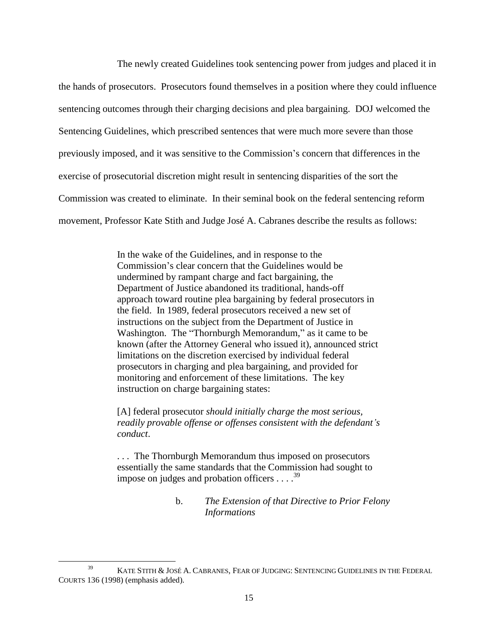The newly created Guidelines took sentencing power from judges and placed it in the hands of prosecutors. Prosecutors found themselves in a position where they could influence sentencing outcomes through their charging decisions and plea bargaining. DOJ welcomed the Sentencing Guidelines, which prescribed sentences that were much more severe than those previously imposed, and it was sensitive to the Commission's concern that differences in the exercise of prosecutorial discretion might result in sentencing disparities of the sort the Commission was created to eliminate. In their seminal book on the federal sentencing reform movement, Professor Kate Stith and Judge José A. Cabranes describe the results as follows:

> In the wake of the Guidelines, and in response to the Commission's clear concern that the Guidelines would be undermined by rampant charge and fact bargaining, the Department of Justice abandoned its traditional, hands-off approach toward routine plea bargaining by federal prosecutors in the field. In 1989, federal prosecutors received a new set of instructions on the subject from the Department of Justice in Washington. The "Thornburgh Memorandum," as it came to be known (after the Attorney General who issued it), announced strict limitations on the discretion exercised by individual federal prosecutors in charging and plea bargaining, and provided for monitoring and enforcement of these limitations. The key instruction on charge bargaining states:

> [A] federal prosecutor *should initially charge the most serious, readily provable offense or offenses consistent with the defendant's conduct*.

. . . The Thornburgh Memorandum thus imposed on prosecutors essentially the same standards that the Commission had sought to impose on judges and probation officers  $\dots$   $39$ 

# b. *The Extension of that Directive to Prior Felony Informations*

<sup>&</sup>lt;sup>39</sup> KATE STITH & JOSÉ A. CABRANES, FEAR OF JUDGING: SENTENCING GUIDELINES IN THE FEDERAL COURTS 136 (1998) (emphasis added).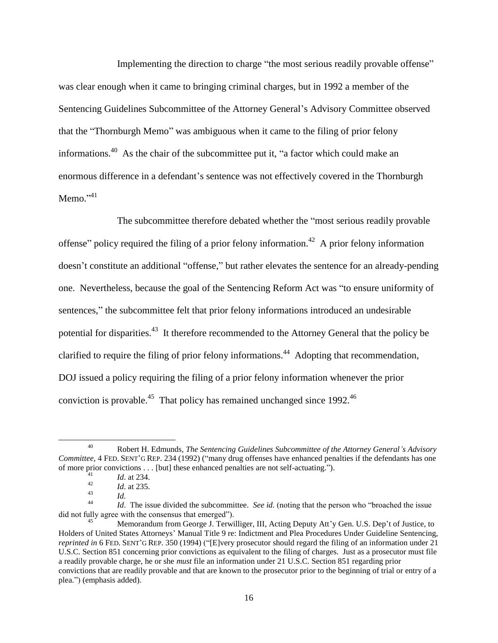Implementing the direction to charge "the most serious readily provable offense" was clear enough when it came to bringing criminal charges, but in 1992 a member of the Sentencing Guidelines Subcommittee of the Attorney General's Advisory Committee observed that the "Thornburgh Memo" was ambiguous when it came to the filing of prior felony informations.<sup>40</sup> As the chair of the subcommittee put it, "a factor which could make an enormous difference in a defendant's sentence was not effectively covered in the Thornburgh Memo." 41

The subcommittee therefore debated whether the "most serious readily provable offense" policy required the filing of a prior felony information.<sup>42</sup> A prior felony information doesn't constitute an additional "offense," but rather elevates the sentence for an already-pending one. Nevertheless, because the goal of the Sentencing Reform Act was "to ensure uniformity of sentences," the subcommittee felt that prior felony informations introduced an undesirable potential for disparities.<sup>43</sup> It therefore recommended to the Attorney General that the policy be clarified to require the filing of prior felony informations.<sup>44</sup> Adopting that recommendation, DOJ issued a policy requiring the filing of a prior felony information whenever the prior conviction is provable.<sup>45</sup> That policy has remained unchanged since 1992.<sup>46</sup>

l

<sup>40</sup> Robert H. Edmunds, *The Sentencing Guidelines Subcommittee of the Attorney General's Advisory Committee,* 4 FED. SENT'G REP. 234 (1992) ("many drug offenses have enhanced penalties if the defendants has one of more prior convictions . . . [but] these enhanced penalties are not self-actuating.").

 $\frac{41}{42}$  *Id.* at 234.

 $\frac{42}{43}$  *Id.* at 235.

 $\frac{43}{44}$  *Id.* 

<sup>44</sup> *Id*. The issue divided the subcommittee. *See id.* (noting that the person who "broached the issue did not fully agree with the consensus that emerged").

Memorandum from George J. Terwilliger, III, Acting Deputy Att'y Gen. U.S. Dep't of Justice, to Holders of United States Attorneys' Manual Title 9 re: Indictment and Plea Procedures Under Guideline Sentencing, *reprinted in* 6 FED. SENT'G REP. 350 (1994) ("[E]very prosecutor should regard the filing of an information under 21 U.S.C. Section 851 concerning prior convictions as equivalent to the filing of charges. Just as a prosecutor must file a readily provable charge, he or she *must* file an information under 21 U.S.C. Section 851 regarding prior convictions that are readily provable and that are known to the prosecutor prior to the beginning of trial or entry of a plea.") (emphasis added).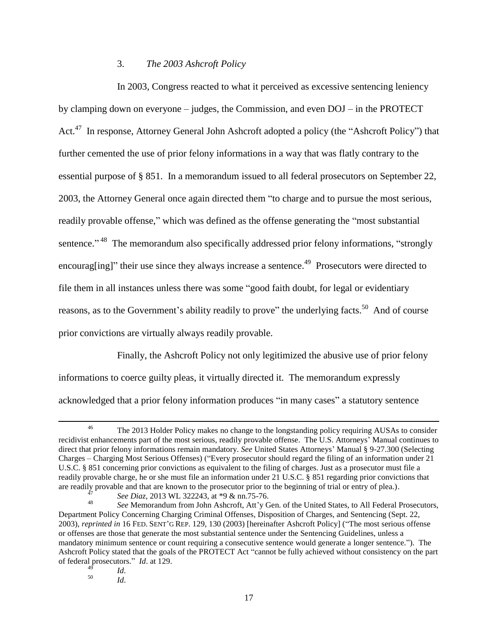## 3. *The 2003 Ashcroft Policy*

In 2003, Congress reacted to what it perceived as excessive sentencing leniency by clamping down on everyone – judges, the Commission, and even DOJ – in the PROTECT Act.<sup>47</sup> In response, Attorney General John Ashcroft adopted a policy (the "Ashcroft Policy") that further cemented the use of prior felony informations in a way that was flatly contrary to the essential purpose of § 851. In a memorandum issued to all federal prosecutors on September 22, 2003, the Attorney General once again directed them "to charge and to pursue the most serious, readily provable offense," which was defined as the offense generating the "most substantial sentence."<sup>48</sup> The memorandum also specifically addressed prior felony informations, "strongly encourag[ing]" their use since they always increase a sentence.<sup>49</sup> Prosecutors were directed to file them in all instances unless there was some "good faith doubt, for legal or evidentiary reasons, as to the Government's ability readily to prove" the underlying facts.<sup>50</sup> And of course prior convictions are virtually always readily provable.

<span id="page-16-0"></span>Finally, the Ashcroft Policy not only legitimized the abusive use of prior felony informations to coerce guilty pleas, it virtually directed it. The memorandum expressly acknowledged that a prior felony information produces "in many cases" a statutory sentence

<sup>&</sup>lt;sup>46</sup> The 2013 Holder Policy makes no change to the longstanding policy requiring AUSAs to consider recidivist enhancements part of the most serious, readily provable offense. The U.S. Attorneys' Manual continues to direct that prior felony informations remain mandatory. *See* United States Attorneys' Manual § 9-27.300 (Selecting Charges – Charging Most Serious Offenses) ("Every prosecutor should regard the filing of an information under 21 U.S.C. § 851 concerning prior convictions as equivalent to the filing of charges. Just as a prosecutor must file a readily provable charge, he or she must file an information under 21 U.S.C. § 851 regarding prior convictions that are readily provable and that are known to the prosecutor prior to the beginning of trial or entry of plea.).

<sup>47</sup> *See Diaz*, 2013 WL 322243, at \*9 & nn.75-76.

<sup>48</sup> *See* Memorandum from John Ashcroft, Att'y Gen. of the United States, to All Federal Prosecutors, Department Policy Concerning Charging Criminal Offenses, Disposition of Charges, and Sentencing (Sept. 22, 2003), *reprinted in* 16 FED. SENT'G REP. 129, 130 (2003) [hereinafter Ashcroft Policy] ("The most serious offense or offenses are those that generate the most substantial sentence under the Sentencing Guidelines, unless a mandatory minimum sentence or count requiring a consecutive sentence would generate a longer sentence."). The Ashcroft Policy stated that the goals of the PROTECT Act "cannot be fully achieved without consistency on the part of federal prosecutors." *Id*. at 129.

 $\frac{49}{50}$  *Id.* 

<sup>50</sup> *Id*.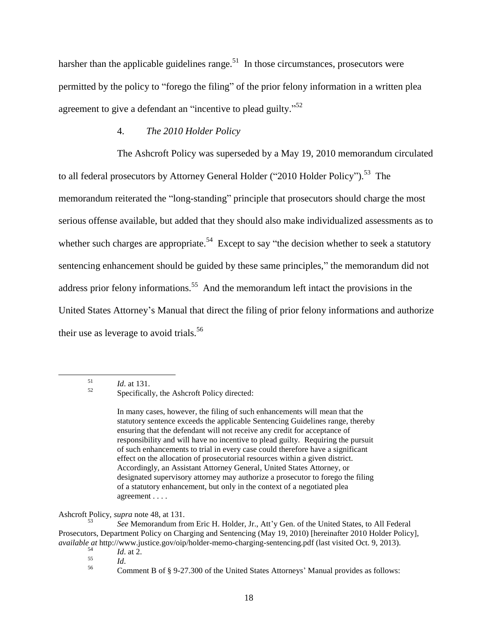harsher than the applicable guidelines range.<sup>51</sup> In those circumstances, prosecutors were permitted by the policy to "forego the filing" of the prior felony information in a written plea agreement to give a defendant an "incentive to plead guilty."<sup>52</sup>

#### <span id="page-17-0"></span>4. *The 2010 Holder Policy*

The Ashcroft Policy was superseded by a May 19, 2010 memorandum circulated to all federal prosecutors by Attorney General Holder ("2010 Holder Policy").<sup>53</sup> The memorandum reiterated the "long-standing" principle that prosecutors should charge the most serious offense available, but added that they should also make individualized assessments as to whether such charges are appropriate.<sup>54</sup> Except to say "the decision whether to seek a statutory sentencing enhancement should be guided by these same principles," the memorandum did not address prior felony informations.<sup>55</sup> And the memorandum left intact the provisions in the United States Attorney's Manual that direct the filing of prior felony informations and authorize their use as leverage to avoid trials.<sup>56</sup>

 $\frac{51}{52}$  *Id.* at 131.

 $\overline{\phantom{a}}$ 

In many cases, however, the filing of such enhancements will mean that the statutory sentence exceeds the applicable Sentencing Guidelines range, thereby ensuring that the defendant will not receive any credit for acceptance of responsibility and will have no incentive to plead guilty. Requiring the pursuit of such enhancements to trial in every case could therefore have a significant effect on the allocation of prosecutorial resources within a given district. Accordingly, an Assistant Attorney General, United States Attorney, or designated supervisory attorney may authorize a prosecutor to forego the filing of a statutory enhancement, but only in the context of a negotiated plea agreement . . . .

Ashcroft Policy, *supra* note [48,](#page-16-0) at 131.

<sup>53</sup> *See* Memorandum from Eric H. Holder, Jr., Att'y Gen. of the United States, to All Federal Prosecutors, Department Policy on Charging and Sentencing (May 19, 2010) [hereinafter 2010 Holder Policy], *available at* http://www.justice.gov/oip/holder-memo-charging-sentencing.pdf (last visited Oct. 9, 2013).

 $\frac{54}{55}$  *Id.* at 2.

 $\frac{55}{56}$  *Id.* 

Specifically, the Ashcroft Policy directed:

<sup>56</sup> Comment B of § 9-27.300 of the United States Attorneys' Manual provides as follows: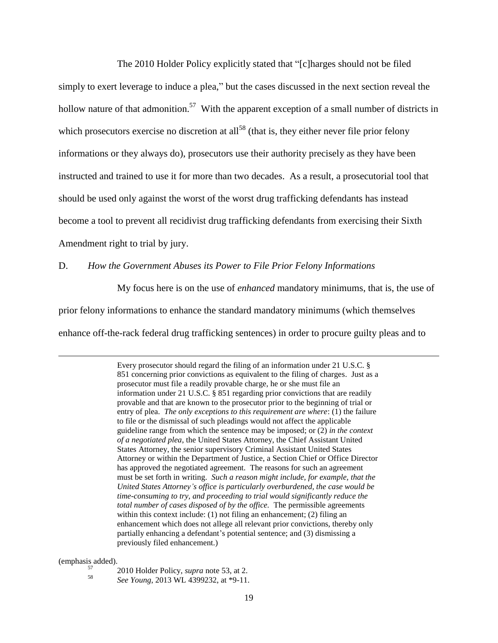The 2010 Holder Policy explicitly stated that "[c]harges should not be filed simply to exert leverage to induce a plea," but the cases discussed in the next section reveal the hollow nature of that admonition.<sup>57</sup> With the apparent exception of a small number of districts in which prosecutors exercise no discretion at all<sup>58</sup> (that is, they either never file prior felony informations or they always do), prosecutors use their authority precisely as they have been instructed and trained to use it for more than two decades. As a result, a prosecutorial tool that should be used only against the worst of the worst drug trafficking defendants has instead become a tool to prevent all recidivist drug trafficking defendants from exercising their Sixth Amendment right to trial by jury.

D. *How the Government Abuses its Power to File Prior Felony Informations*

My focus here is on the use of *enhanced* mandatory minimums, that is, the use of prior felony informations to enhance the standard mandatory minimums (which themselves enhance off-the-rack federal drug trafficking sentences) in order to procure guilty pleas and to

> Every prosecutor should regard the filing of an information under 21 U.S.C. § 851 concerning prior convictions as equivalent to the filing of charges. Just as a prosecutor must file a readily provable charge, he or she must file an information under 21 U.S.C. § 851 regarding prior convictions that are readily provable and that are known to the prosecutor prior to the beginning of trial or entry of plea. *The only exceptions to this requirement are where*: (1) the failure to file or the dismissal of such pleadings would not affect the applicable guideline range from which the sentence may be imposed; or (2) *in the context of a negotiated plea*, the United States Attorney, the Chief Assistant United States Attorney, the senior supervisory Criminal Assistant United States Attorney or within the Department of Justice, a Section Chief or Office Director has approved the negotiated agreement. The reasons for such an agreement must be set forth in writing. *Such a reason might include, for example, that the United States Attorney's office is particularly overburdened, the case would be time-consuming to try, and proceeding to trial would significantly reduce the total number of cases disposed of by the office.* The permissible agreements within this context include: (1) not filing an enhancement; (2) filing an enhancement which does not allege all relevant prior convictions, thereby only partially enhancing a defendant's potential sentence; and (3) dismissing a previously filed enhancement.)

(emphasis added).

 $\overline{a}$ 

- <sup>57</sup> 2010 Holder Policy, *supra* note [53,](#page-17-0) at 2.
	- <sup>58</sup> *See Young*, 2013 WL 4399232, at \*9-11.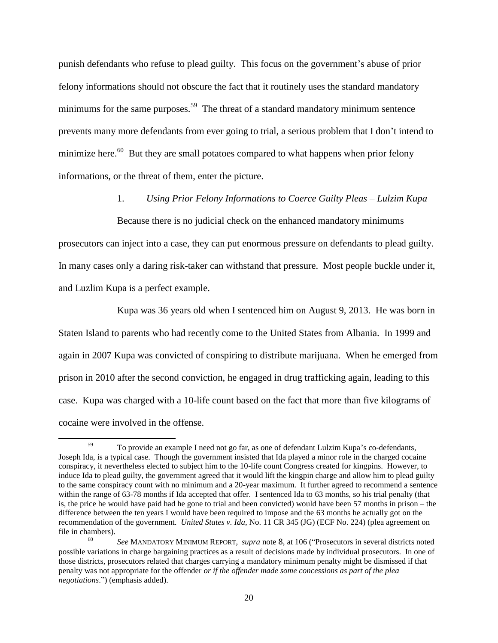punish defendants who refuse to plead guilty. This focus on the government's abuse of prior felony informations should not obscure the fact that it routinely uses the standard mandatory minimums for the same purposes.<sup>59</sup> The threat of a standard mandatory minimum sentence prevents many more defendants from ever going to trial, a serious problem that I don't intend to minimize here. $60$  But they are small potatoes compared to what happens when prior felony informations, or the threat of them, enter the picture.

## 1. *Using Prior Felony Informations to Coerce Guilty Pleas – Lulzim Kupa*

Because there is no judicial check on the enhanced mandatory minimums prosecutors can inject into a case, they can put enormous pressure on defendants to plead guilty. In many cases only a daring risk-taker can withstand that pressure. Most people buckle under it, and Luzlim Kupa is a perfect example.

Kupa was 36 years old when I sentenced him on August 9, 2013. He was born in Staten Island to parents who had recently come to the United States from Albania. In 1999 and again in 2007 Kupa was convicted of conspiring to distribute marijuana. When he emerged from prison in 2010 after the second conviction, he engaged in drug trafficking again, leading to this case. Kupa was charged with a 10-life count based on the fact that more than five kilograms of cocaine were involved in the offense.

l

To provide an example I need not go far, as one of defendant Lulzim Kupa's co-defendants, Joseph Ida, is a typical case. Though the government insisted that Ida played a minor role in the charged cocaine conspiracy, it nevertheless elected to subject him to the 10-life count Congress created for kingpins. However, to induce Ida to plead guilty, the government agreed that it would lift the kingpin charge and allow him to plead guilty to the same conspiracy count with no minimum and a 20-year maximum. It further agreed to recommend a sentence within the range of 63-78 months if Ida accepted that offer. I sentenced Ida to 63 months, so his trial penalty (that is, the price he would have paid had he gone to trial and been convicted) would have been 57 months in prison – the difference between the ten years I would have been required to impose and the 63 months he actually got on the recommendation of the government. *United States v. Ida*, No. 11 CR 345 (JG) (ECF No. 224) (plea agreement on file in chambers).

<sup>60</sup> *See* MANDATORY MINIMUM REPORT, *supra* note [8](#page-2-0), at 106 ("Prosecutors in several districts noted possible variations in charge bargaining practices as a result of decisions made by individual prosecutors. In one of those districts, prosecutors related that charges carrying a mandatory minimum penalty might be dismissed if that penalty was not appropriate for the offender *or if the offender made some concessions as part of the plea negotiations*.") (emphasis added).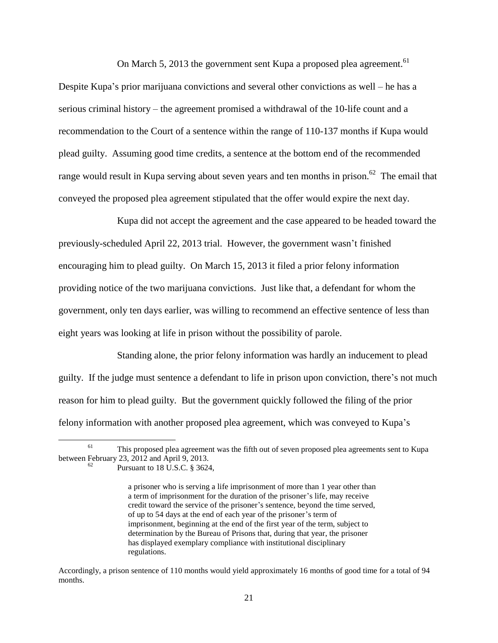On March 5, 2013 the government sent Kupa a proposed plea agreement.<sup>61</sup>

Despite Kupa's prior marijuana convictions and several other convictions as well – he has a serious criminal history – the agreement promised a withdrawal of the 10-life count and a recommendation to the Court of a sentence within the range of 110-137 months if Kupa would plead guilty. Assuming good time credits, a sentence at the bottom end of the recommended range would result in Kupa serving about seven years and ten months in prison.<sup>62</sup> The email that conveyed the proposed plea agreement stipulated that the offer would expire the next day.

Kupa did not accept the agreement and the case appeared to be headed toward the previously-scheduled April 22, 2013 trial. However, the government wasn't finished encouraging him to plead guilty. On March 15, 2013 it filed a prior felony information providing notice of the two marijuana convictions. Just like that, a defendant for whom the government, only ten days earlier, was willing to recommend an effective sentence of less than eight years was looking at life in prison without the possibility of parole.

Standing alone, the prior felony information was hardly an inducement to plead guilty. If the judge must sentence a defendant to life in prison upon conviction, there's not much reason for him to plead guilty. But the government quickly followed the filing of the prior felony information with another proposed plea agreement, which was conveyed to Kupa's

l

<sup>&</sup>lt;sup>61</sup> This proposed plea agreement was the fifth out of seven proposed plea agreements sent to Kupa between February 23, 2012 and April 9, 2013.

Pursuant to 18 U.S.C. § 3624,

a prisoner who is serving a life imprisonment of more than 1 year other than a term of imprisonment for the duration of the prisoner's life, may receive credit toward the service of the prisoner's sentence, beyond the time served, of up to 54 days at the end of each year of the prisoner's term of imprisonment, beginning at the end of the first year of the term, subject to determination by the Bureau of Prisons that, during that year, the prisoner has displayed exemplary compliance with institutional disciplinary regulations.

Accordingly, a prison sentence of 110 months would yield approximately 16 months of good time for a total of 94 months.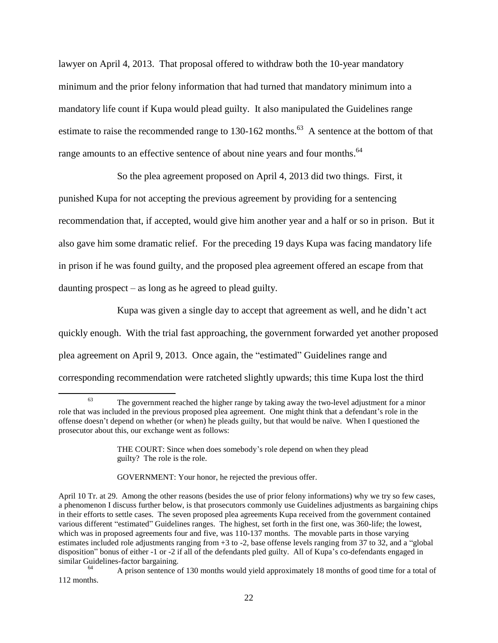lawyer on April 4, 2013. That proposal offered to withdraw both the 10-year mandatory minimum and the prior felony information that had turned that mandatory minimum into a mandatory life count if Kupa would plead guilty. It also manipulated the Guidelines range estimate to raise the recommended range to 130-162 months.<sup>63</sup> A sentence at the bottom of that range amounts to an effective sentence of about nine years and four months.<sup>64</sup>

So the plea agreement proposed on April 4, 2013 did two things. First, it punished Kupa for not accepting the previous agreement by providing for a sentencing recommendation that, if accepted, would give him another year and a half or so in prison. But it also gave him some dramatic relief. For the preceding 19 days Kupa was facing mandatory life in prison if he was found guilty, and the proposed plea agreement offered an escape from that daunting prospect – as long as he agreed to plead guilty.

Kupa was given a single day to accept that agreement as well, and he didn't act quickly enough. With the trial fast approaching, the government forwarded yet another proposed plea agreement on April 9, 2013. Once again, the "estimated" Guidelines range and corresponding recommendation were ratcheted slightly upwards; this time Kupa lost the third

 $\overline{a}$ <sup>63</sup> The government reached the higher range by taking away the two-level adjustment for a minor role that was included in the previous proposed plea agreement. One might think that a defendant's role in the offense doesn't depend on whether (or when) he pleads guilty, but that would be naïve. When I questioned the prosecutor about this, our exchange went as follows:

THE COURT: Since when does somebody's role depend on when they plead guilty? The role is the role.

GOVERNMENT: Your honor, he rejected the previous offer.

April 10 Tr. at 29. Among the other reasons (besides the use of prior felony informations) why we try so few cases, a phenomenon I discuss further below, is that prosecutors commonly use Guidelines adjustments as bargaining chips in their efforts to settle cases. The seven proposed plea agreements Kupa received from the government contained various different "estimated" Guidelines ranges. The highest, set forth in the first one, was 360-life; the lowest, which was in proposed agreements four and five, was 110-137 months. The movable parts in those varying estimates included role adjustments ranging from +3 to -2, base offense levels ranging from 37 to 32, and a "global disposition" bonus of either -1 or -2 if all of the defendants pled guilty. All of Kupa's co-defendants engaged in similar Guidelines-factor bargaining.

<sup>64</sup> A prison sentence of 130 months would yield approximately 18 months of good time for a total of 112 months.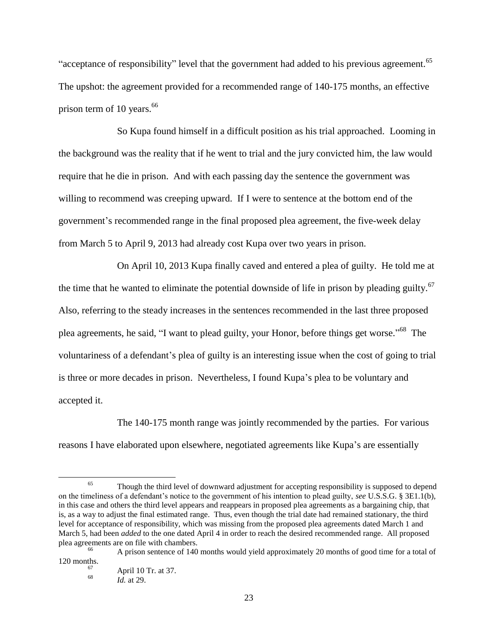"acceptance of responsibility" level that the government had added to his previous agreement.<sup>65</sup> The upshot: the agreement provided for a recommended range of 140-175 months, an effective prison term of 10 years.<sup>66</sup>

So Kupa found himself in a difficult position as his trial approached. Looming in the background was the reality that if he went to trial and the jury convicted him, the law would require that he die in prison. And with each passing day the sentence the government was willing to recommend was creeping upward. If I were to sentence at the bottom end of the government's recommended range in the final proposed plea agreement, the five-week delay from March 5 to April 9, 2013 had already cost Kupa over two years in prison.

On April 10, 2013 Kupa finally caved and entered a plea of guilty. He told me at the time that he wanted to eliminate the potential downside of life in prison by pleading guilty. $67$ Also, referring to the steady increases in the sentences recommended in the last three proposed plea agreements, he said, "I want to plead guilty, your Honor, before things get worse."<sup>68</sup> The voluntariness of a defendant's plea of guilty is an interesting issue when the cost of going to trial is three or more decades in prison. Nevertheless, I found Kupa's plea to be voluntary and accepted it.

The 140-175 month range was jointly recommended by the parties. For various reasons I have elaborated upon elsewhere, negotiated agreements like Kupa's are essentially

 $65$  Though the third level of downward adjustment for accepting responsibility is supposed to depend on the timeliness of a defendant's notice to the government of his intention to plead guilty, *see* U.S.S.G. § 3E1.1(b), in this case and others the third level appears and reappears in proposed plea agreements as a bargaining chip, that is, as a way to adjust the final estimated range. Thus, even though the trial date had remained stationary, the third level for acceptance of responsibility, which was missing from the proposed plea agreements dated March 1 and March 5, had been *added* to the one dated April 4 in order to reach the desired recommended range. All proposed plea agreements are on file with chambers.

A prison sentence of 140 months would yield approximately 20 months of good time for a total of 120 months. 67

April 10 Tr. at 37. 68

*Id.* at 29.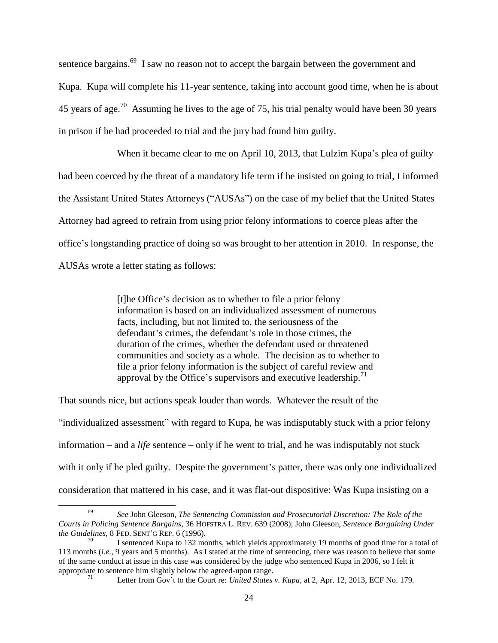<span id="page-23-0"></span>sentence bargains.<sup>69</sup> I saw no reason not to accept the bargain between the government and Kupa. Kupa will complete his 11-year sentence, taking into account good time, when he is about 45 years of age.<sup>70</sup> Assuming he lives to the age of 75, his trial penalty would have been 30 years in prison if he had proceeded to trial and the jury had found him guilty.

When it became clear to me on April 10, 2013, that Lulzim Kupa's plea of guilty had been coerced by the threat of a mandatory life term if he insisted on going to trial, I informed the Assistant United States Attorneys ("AUSAs") on the case of my belief that the United States Attorney had agreed to refrain from using prior felony informations to coerce pleas after the office's longstanding practice of doing so was brought to her attention in 2010. In response, the AUSAs wrote a letter stating as follows:

> [t]he Office's decision as to whether to file a prior felony information is based on an individualized assessment of numerous facts, including, but not limited to, the seriousness of the defendant's crimes, the defendant's role in those crimes, the duration of the crimes, whether the defendant used or threatened communities and society as a whole. The decision as to whether to file a prior felony information is the subject of careful review and approval by the Office's supervisors and executive leadership.<sup>71</sup>

That sounds nice, but actions speak louder than words. Whatever the result of the

 $\overline{a}$ 

"individualized assessment" with regard to Kupa, he was indisputably stuck with a prior felony information – and a *life* sentence – only if he went to trial, and he was indisputably not stuck with it only if he pled guilty. Despite the government's patter, there was only one individualized consideration that mattered in his case, and it was flat-out dispositive: Was Kupa insisting on a

<sup>69</sup> *See* John Gleeson, *The Sentencing Commission and Prosecutorial Discretion: The Role of the Courts in Policing Sentence Bargains*, 36 HOFSTRA L. REV. 639 (2008); John Gleeson, *Sentence Bargaining Under the Guidelines*, 8 FED. SENT'G REP. 6 (1996).

I sentenced Kupa to 132 months, which yields approximately 19 months of good time for a total of 113 months (*i.e.*, 9 years and 5 months). As I stated at the time of sentencing, there was reason to believe that some of the same conduct at issue in this case was considered by the judge who sentenced Kupa in 2006, so I felt it appropriate to sentence him slightly below the agreed-upon range.

<sup>71</sup> Letter from Gov't to the Court re: *United States v. Kupa*, at 2, Apr. 12, 2013, ECF No. 179.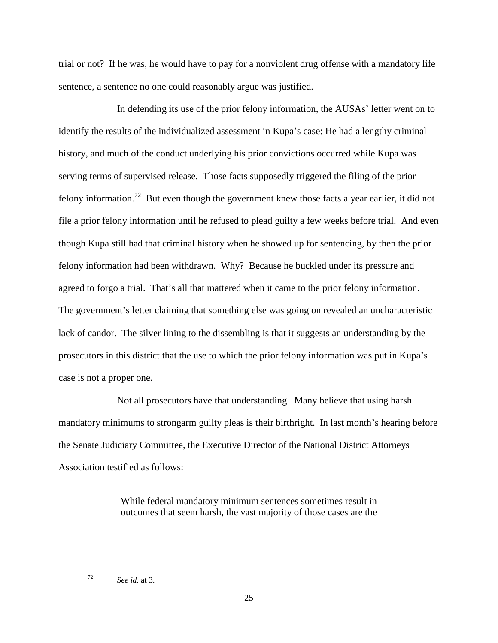trial or not? If he was, he would have to pay for a nonviolent drug offense with a mandatory life sentence, a sentence no one could reasonably argue was justified.

In defending its use of the prior felony information, the AUSAs' letter went on to identify the results of the individualized assessment in Kupa's case: He had a lengthy criminal history, and much of the conduct underlying his prior convictions occurred while Kupa was serving terms of supervised release. Those facts supposedly triggered the filing of the prior felony information.<sup>72</sup> But even though the government knew those facts a year earlier, it did not file a prior felony information until he refused to plead guilty a few weeks before trial. And even though Kupa still had that criminal history when he showed up for sentencing, by then the prior felony information had been withdrawn. Why? Because he buckled under its pressure and agreed to forgo a trial. That's all that mattered when it came to the prior felony information. The government's letter claiming that something else was going on revealed an uncharacteristic lack of candor. The silver lining to the dissembling is that it suggests an understanding by the prosecutors in this district that the use to which the prior felony information was put in Kupa's case is not a proper one.

Not all prosecutors have that understanding. Many believe that using harsh mandatory minimums to strongarm guilty pleas is their birthright. In last month's hearing before the Senate Judiciary Committee, the Executive Director of the National District Attorneys Association testified as follows:

> While federal mandatory minimum sentences sometimes result in outcomes that seem harsh, the vast majority of those cases are the

<sup>72</sup> *See id*. at 3.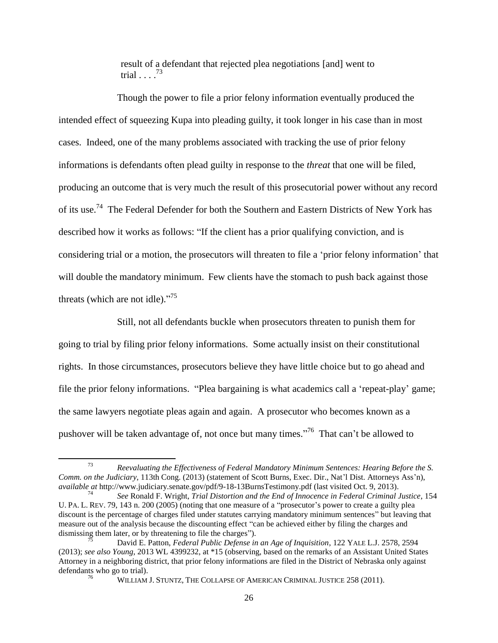result of a defendant that rejected plea negotiations [and] went to trial  $\ldots$ .<sup>73</sup>

<span id="page-25-0"></span>Though the power to file a prior felony information eventually produced the intended effect of squeezing Kupa into pleading guilty, it took longer in his case than in most cases. Indeed, one of the many problems associated with tracking the use of prior felony informations is defendants often plead guilty in response to the *threat* that one will be filed, producing an outcome that is very much the result of this prosecutorial power without any record of its use.<sup>74</sup> The Federal Defender for both the Southern and Eastern Districts of New York has described how it works as follows: "If the client has a prior qualifying conviction, and is considering trial or a motion, the prosecutors will threaten to file a 'prior felony information' that will double the mandatory minimum. Few clients have the stomach to push back against those threats (which are not idle)."<sup>75</sup>

Still, not all defendants buckle when prosecutors threaten to punish them for going to trial by filing prior felony informations. Some actually insist on their constitutional rights. In those circumstances, prosecutors believe they have little choice but to go ahead and file the prior felony informations. "Plea bargaining is what academics call a 'repeat-play' game; the same lawyers negotiate pleas again and again. A prosecutor who becomes known as a pushover will be taken advantage of, not once but many times."<sup>76</sup> That can't be allowed to

<span id="page-25-1"></span><sup>73</sup> *Reevaluating the Effectiveness of Federal Mandatory Minimum Sentences: Hearing Before the S. Comm. on the Judiciary*, 113th Cong. (2013) (statement of Scott Burns, Exec. Dir., Nat'l Dist. Attorneys Ass'n), *available at* http://www.judiciary.senate.gov/pdf/9-18-13BurnsTestimony.pdf (last visited Oct. 9, 2013).

<sup>74</sup> *See* Ronald F. Wright, *Trial Distortion and the End of Innocence in Federal Criminal Justice*, 154 U. PA. L. REV. 79, 143 n. 200 (2005) (noting that one measure of a "prosecutor's power to create a guilty plea discount is the percentage of charges filed under statutes carrying mandatory minimum sentences" but leaving that measure out of the analysis because the discounting effect "can be achieved either by filing the charges and dismissing them later, or by threatening to file the charges").

<sup>75</sup> David E. Patton, *Federal Public Defense in an Age of Inquisition*, 122 YALE L.J. 2578, 2594 (2013); *see also Young*, 2013 WL 4399232, at \*15 (observing, based on the remarks of an Assistant United States Attorney in a neighboring district, that prior felony informations are filed in the District of Nebraska only against defendants who go to trial).

<sup>76</sup> WILLIAM J. STUNTZ, THE COLLAPSE OF AMERICAN CRIMINAL JUSTICE 258 (2011).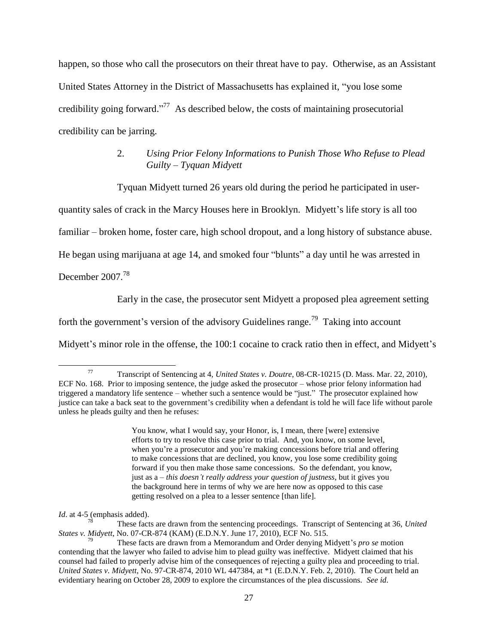happen, so those who call the prosecutors on their threat have to pay. Otherwise, as an Assistant United States Attorney in the District of Massachusetts has explained it, "you lose some credibility going forward."<sup>77</sup> As described below, the costs of maintaining prosecutorial credibility can be jarring.

# <span id="page-26-1"></span>2. *Using Prior Felony Informations to Punish Those Who Refuse to Plead Guilty – Tyquan Midyett*

Tyquan Midyett turned 26 years old during the period he participated in user-

quantity sales of crack in the Marcy Houses here in Brooklyn. Midyett's life story is all too

familiar – broken home, foster care, high school dropout, and a long history of substance abuse.

He began using marijuana at age 14, and smoked four "blunts" a day until he was arrested in

December 2007.<sup>78</sup>

 $\overline{\phantom{a}}$ 

<span id="page-26-0"></span>Early in the case, the prosecutor sent Midyett a proposed plea agreement setting

forth the government's version of the advisory Guidelines range.<sup>79</sup> Taking into account

Midyett's minor role in the offense, the 100:1 cocaine to crack ratio then in effect, and Midyett's

You know, what I would say, your Honor, is, I mean, there [were] extensive efforts to try to resolve this case prior to trial. And, you know, on some level, when you're a prosecutor and you're making concessions before trial and offering to make concessions that are declined, you know, you lose some credibility going forward if you then make those same concessions. So the defendant, you know, just as a – *this doesn't really address your question of justness*, but it gives you the background here in terms of why we are here now as opposed to this case getting resolved on a plea to a lesser sentence [than life].

*Id*. at 4-5 (emphasis added).

These facts are drawn from the sentencing proceedings. Transcript of Sentencing at 36, *United States v. Midyett*, No. 07-CR-874 (KAM) (E.D.N.Y. June 17, 2010), ECF No. 515.

<sup>77</sup> Transcript of Sentencing at 4, *United States v. Doutre*, 08-CR-10215 (D. Mass. Mar. 22, 2010), ECF No. 168. Prior to imposing sentence, the judge asked the prosecutor – whose prior felony information had triggered a mandatory life sentence – whether such a sentence would be "just." The prosecutor explained how justice can take a back seat to the government's credibility when a defendant is told he will face life without parole unless he pleads guilty and then he refuses:

<sup>79</sup> These facts are drawn from a Memorandum and Order denying Midyett's *pro se* motion contending that the lawyer who failed to advise him to plead guilty was ineffective. Midyett claimed that his counsel had failed to properly advise him of the consequences of rejecting a guilty plea and proceeding to trial. *United States v. Midyett*, No. 97-CR-874, 2010 WL 447384, at \*1 (E.D.N.Y. Feb. 2, 2010). The Court held an evidentiary hearing on October 28, 2009 to explore the circumstances of the plea discussions. *See id*.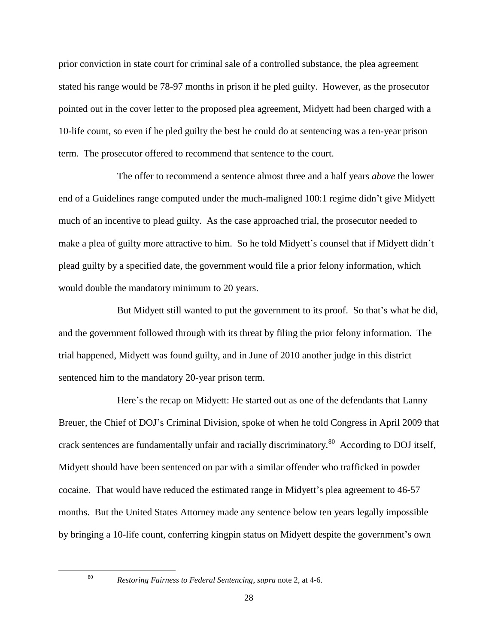prior conviction in state court for criminal sale of a controlled substance, the plea agreement stated his range would be 78-97 months in prison if he pled guilty. However, as the prosecutor pointed out in the cover letter to the proposed plea agreement, Midyett had been charged with a 10-life count, so even if he pled guilty the best he could do at sentencing was a ten-year prison term. The prosecutor offered to recommend that sentence to the court.

The offer to recommend a sentence almost three and a half years *above* the lower end of a Guidelines range computed under the much-maligned 100:1 regime didn't give Midyett much of an incentive to plead guilty. As the case approached trial, the prosecutor needed to make a plea of guilty more attractive to him. So he told Midyett's counsel that if Midyett didn't plead guilty by a specified date, the government would file a prior felony information, which would double the mandatory minimum to 20 years.

But Midyett still wanted to put the government to its proof. So that's what he did, and the government followed through with its threat by filing the prior felony information. The trial happened, Midyett was found guilty, and in June of 2010 another judge in this district sentenced him to the mandatory 20-year prison term.

Here's the recap on Midyett: He started out as one of the defendants that Lanny Breuer, the Chief of DOJ's Criminal Division, spoke of when he told Congress in April 2009 that crack sentences are fundamentally unfair and racially discriminatory.<sup>80</sup> According to DOJ itself, Midyett should have been sentenced on par with a similar offender who trafficked in powder cocaine. That would have reduced the estimated range in Midyett's plea agreement to 46-57 months. But the United States Attorney made any sentence below ten years legally impossible by bringing a 10-life count, conferring kingpin status on Midyett despite the government's own

<sup>80</sup> *Restoring Fairness to Federal Sentencing*, *supra* note [2,](#page-0-0) at 4-6.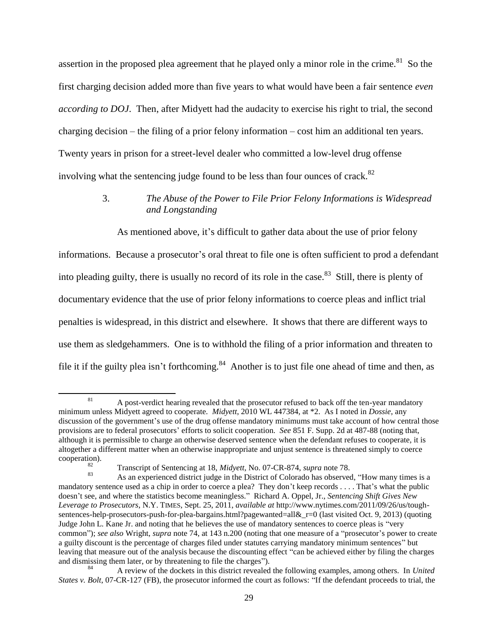assertion in the proposed plea agreement that he played only a minor role in the crime.<sup>81</sup> So the first charging decision added more than five years to what would have been a fair sentence *even according to DOJ*. Then, after Midyett had the audacity to exercise his right to trial, the second charging decision – the filing of a prior felony information – cost him an additional ten years. Twenty years in prison for a street-level dealer who committed a low-level drug offense involving what the sentencing judge found to be less than four ounces of crack.<sup>82</sup>

# 3. *The Abuse of the Power to File Prior Felony Informations is Widespread and Longstanding*

As mentioned above, it's difficult to gather data about the use of prior felony

informations. Because a prosecutor's oral threat to file one is often sufficient to prod a defendant into pleading guilty, there is usually no record of its role in the case.<sup>83</sup> Still, there is plenty of documentary evidence that the use of prior felony informations to coerce pleas and inflict trial penalties is widespread, in this district and elsewhere. It shows that there are different ways to use them as sledgehammers. One is to withhold the filing of a prior information and threaten to file it if the guilty plea isn't forthcoming.<sup>84</sup> Another is to just file one ahead of time and then, as

 $\overline{a}$ 

<sup>&</sup>lt;sup>81</sup> A post-verdict hearing revealed that the prosecutor refused to back off the ten-year mandatory minimum unless Midyett agreed to cooperate. *Midyett*, 2010 WL 447384, at \*2. As I noted in *Dossie*, any discussion of the government's use of the drug offense mandatory minimums must take account of how central those provisions are to federal prosecutors' efforts to solicit cooperation. *See* 851 F. Supp. 2d at 487-88 (noting that, although it is permissible to charge an otherwise deserved sentence when the defendant refuses to cooperate, it is altogether a different matter when an otherwise inappropriate and unjust sentence is threatened simply to coerce cooperation).

<sup>82</sup> Transcript of Sentencing at 18, *Midyett*, No. 07-CR-874, *supra* note [78.](#page-26-0)

As an experienced district judge in the District of Colorado has observed, "How many times is a mandatory sentence used as a chip in order to coerce a plea? They don't keep records . . . . That's what the public doesn't see, and where the statistics become meaningless." Richard A. Oppel, Jr., *Sentencing Shift Gives New Leverage to Prosecutors*, N.Y. TIMES, Sept. 25, 2011, *available at* http://www.nytimes.com/2011/09/26/us/toughsentences-help-prosecutors-push-for-plea-bargains.html?pagewanted=all& $r=0$  (last visited Oct. 9, 2013) (quoting Judge John L. Kane Jr. and noting that he believes the use of mandatory sentences to coerce pleas is "very common"); *see also* Wright, *supra* note [74,](#page-25-0) at 143 n.200 (noting that one measure of a "prosecutor's power to create a guilty discount is the percentage of charges filed under statutes carrying mandatory minimum sentences" but leaving that measure out of the analysis because the discounting effect "can be achieved either by filing the charges and dismissing them later, or by threatening to file the charges").

<sup>84</sup> A review of the dockets in this district revealed the following examples, among others. In *United States v. Bolt*, 07-CR-127 (FB), the prosecutor informed the court as follows: "If the defendant proceeds to trial, the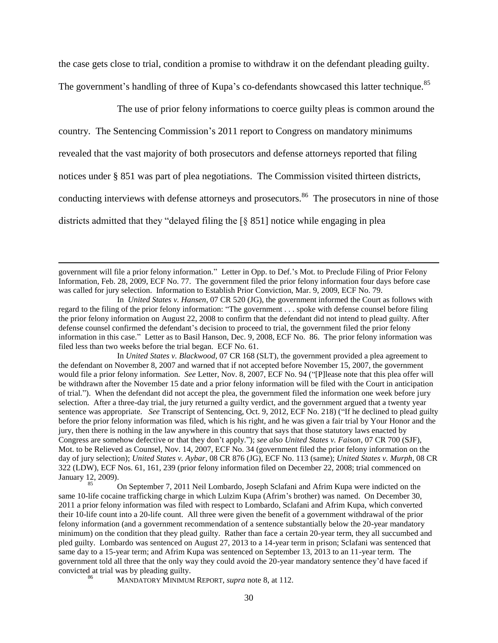the case gets close to trial, condition a promise to withdraw it on the defendant pleading guilty. The government's handling of three of Kupa's co-defendants showcased this latter technique.<sup>85</sup>

The use of prior felony informations to coerce guilty pleas is common around the

country. The Sentencing Commission's 2011 report to Congress on mandatory minimums

revealed that the vast majority of both prosecutors and defense attorneys reported that filing

notices under § 851 was part of plea negotiations. The Commission visited thirteen districts,

conducting interviews with defense attorneys and prosecutors.<sup>86</sup> The prosecutors in nine of those

districts admitted that they "delayed filing the [§ 851] notice while engaging in plea

 $\overline{\phantom{a}}$ 

government will file a prior felony information." Letter in Opp. to Def.'s Mot. to Preclude Filing of Prior Felony Information, Feb. 28, 2009, ECF No. 77. The government filed the prior felony information four days before case was called for jury selection. Information to Establish Prior Conviction, Mar. 9, 2009, ECF No. 79.

In *United States v. Blackwood*, 07 CR 168 (SLT), the government provided a plea agreement to the defendant on November 8, 2007 and warned that if not accepted before November 15, 2007, the government would file a prior felony information. *See* Letter, Nov. 8, 2007, ECF No. 94 ("[P]lease note that this plea offer will be withdrawn after the November 15 date and a prior felony information will be filed with the Court in anticipation of trial."). When the defendant did not accept the plea, the government filed the information one week before jury selection. After a three-day trial, the jury returned a guilty verdict, and the government argued that a twenty year sentence was appropriate. *See* Transcript of Sentencing, Oct. 9, 2012, ECF No. 218) ("If he declined to plead guilty before the prior felony information was filed, which is his right, and he was given a fair trial by Your Honor and the jury, then there is nothing in the law anywhere in this country that says that those statutory laws enacted by Congress are somehow defective or that they don't apply."); *see also United States v. Faison*, 07 CR 700 (SJF), Mot. to be Relieved as Counsel, Nov. 14, 2007, ECF No. 34 (government filed the prior felony information on the day of jury selection); *United States v. Aybar*, 08 CR 876 (JG), ECF No. 113 (same); *United States v. Murph*, 08 CR 322 (LDW), ECF Nos. 61, 161, 239 (prior felony information filed on December 22, 2008; trial commenced on January 12, 2009).

<sup>85</sup> On September 7, 2011 Neil Lombardo, Joseph Sclafani and Afrim Kupa were indicted on the same 10-life cocaine trafficking charge in which Lulzim Kupa (Afrim's brother) was named. On December 30, 2011 a prior felony information was filed with respect to Lombardo, Sclafani and Afrim Kupa, which converted their 10-life count into a 20-life count. All three were given the benefit of a government withdrawal of the prior felony information (and a government recommendation of a sentence substantially below the 20-year mandatory minimum) on the condition that they plead guilty. Rather than face a certain 20-year term, they all succumbed and pled guilty. Lombardo was sentenced on August 27, 2013 to a 14-year term in prison; Sclafani was sentenced that same day to a 15-year term; and Afrim Kupa was sentenced on September 13, 2013 to an 11-year term. The government told all three that the only way they could avoid the 20-year mandatory sentence they'd have faced if convicted at trial was by pleading guilty.

<sup>86</sup> MANDATORY MINIMUM REPORT, *supra* note [8,](#page-2-0) at 112.

In *United States v. Hansen*, 07 CR 520 (JG), the government informed the Court as follows with regard to the filing of the prior felony information: "The government . . . spoke with defense counsel before filing the prior felony information on August 22, 2008 to confirm that the defendant did not intend to plead guilty. After defense counsel confirmed the defendant's decision to proceed to trial, the government filed the prior felony information in this case." Letter as to Basil Hanson, Dec. 9, 2008, ECF No. 86. The prior felony information was filed less than two weeks before the trial began. ECF No. 61.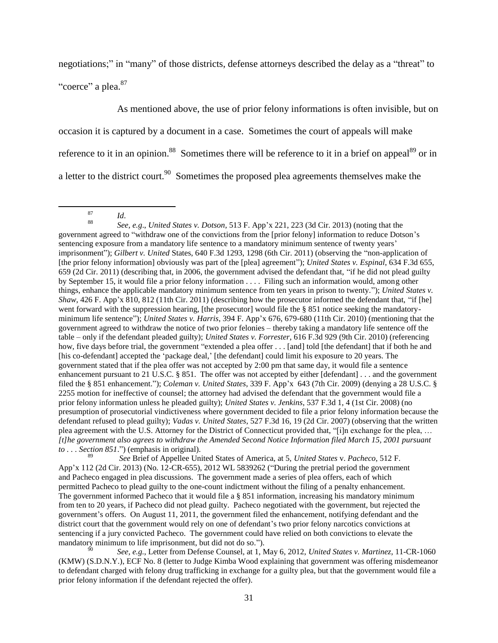negotiations;" in "many" of those districts, defense attorneys described the delay as a "threat" to "coerce" a plea.<sup>87</sup>

As mentioned above, the use of prior felony informations is often invisible, but on occasion it is captured by a document in a case. Sometimes the court of appeals will make reference to it in an opinion.<sup>88</sup> Sometimes there will be reference to it in a brief on appeal<sup>89</sup> or in a letter to the district court.<sup>90</sup> Sometimes the proposed plea agreements themselves make the

 $\overline{\phantom{a}}$ 

<sup>88</sup> *See, e.g*., *United States v. Dotson*, 513 F. App'x 221, 223 (3d Cir. 2013) (noting that the government agreed to "withdraw one of the convictions from the [prior felony] information to reduce Dotson's sentencing exposure from a mandatory life sentence to a mandatory minimum sentence of twenty years' imprisonment"); *Gilbert v. United* States, 640 F.3d 1293, 1298 (6th Cir. 2011) (observing the "non-application of [the prior felony information] obviously was part of the [plea] agreement"); *United States v. Espinal*, 634 F.3d 655, 659 (2d Cir. 2011) (describing that, in 2006, the government advised the defendant that, "if he did not plead guilty by September 15, it would file a prior felony information . . . . Filing such an information would, among other things, enhance the applicable mandatory minimum sentence from ten years in prison to twenty."); *United States v. Shaw*, 426 F. App'x 810, 812 (11th Cir. 2011) (describing how the prosecutor informed the defendant that, "if [he] went forward with the suppression hearing, [the prosecutor] would file the § 851 notice seeking the mandatoryminimum life sentence"); *United States v. Harris*, 394 F. App'x 676, 679-680 (11th Cir. 2010) (mentioning that the government agreed to withdraw the notice of two prior felonies – thereby taking a mandatory life sentence off the table – only if the defendant pleaded guilty); *United States v. Forrester*, 616 F.3d 929 (9th Cir. 2010) (referencing how, five days before trial, the government "extended a plea offer . . . [and] told [the defendant] that if both he and [his co-defendant] accepted the 'package deal,' [the defendant] could limit his exposure to 20 years. The government stated that if the plea offer was not accepted by 2:00 pm that same day, it would file a sentence enhancement pursuant to 21 U.S.C. § 851. The offer was not accepted by either [defendant] . . . and the government filed the § 851 enhancement."); *Coleman v. United States*, 339 F. App'x 643 (7th Cir. 2009) (denying a 28 U.S.C. § 2255 motion for ineffective of counsel; the attorney had advised the defendant that the government would file a prior felony information unless he pleaded guilty); *United States v. Jenkins*, 537 F.3d 1, 4 (1st Cir. 2008) (no presumption of prosecutorial vindictiveness where government decided to file a prior felony information because the defendant refused to plead guilty); *Vadas v. United States*, 527 F.3d 16, 19 (2d Cir. 2007) (observing that the written plea agreement with the U.S. Attorney for the District of Connecticut provided that, "[i]n exchange for the plea, … *[t]he government also agrees to withdraw the Amended Second Notice Information filed March 15, 2001 pursuant to . . . Section 851*.") (emphasis in original).

<sup>89</sup> *See* Brief of Appellee United States of America, at 5, *United States* v. *Pacheco*, 512 F. App'x 112 (2d Cir. 2013) (No. 12-CR-655), 2012 WL 5839262 ("During the pretrial period the government and Pacheco engaged in plea discussions. The government made a series of plea offers, each of which permitted Pacheco to plead guilty to the one-count indictment without the filing of a penalty enhancement. The government informed Pacheco that it would file a § 851 information, increasing his mandatory minimum from ten to 20 years, if Pacheco did not plead guilty. Pacheco negotiated with the government, but rejected the government's offers. On August 11, 2011, the government filed the enhancement, notifying defendant and the district court that the government would rely on one of defendant's two prior felony narcotics convictions at sentencing if a jury convicted Pacheco. The government could have relied on both convictions to elevate the mandatory minimum to life imprisonment, but did not do so.").

<sup>90</sup> *See, e.g.*, Letter from Defense Counsel, at 1, May 6, 2012, *United States v. Martinez*, 11-CR-1060 (KMW) (S.D.N.Y.), ECF No. 8 (letter to Judge Kimba Wood explaining that government was offering misdemeanor to defendant charged with felony drug trafficking in exchange for a guilty plea, but that the government would file a prior felony information if the defendant rejected the offer).

<sup>87</sup>  $\frac{S}{88}$  *Id.*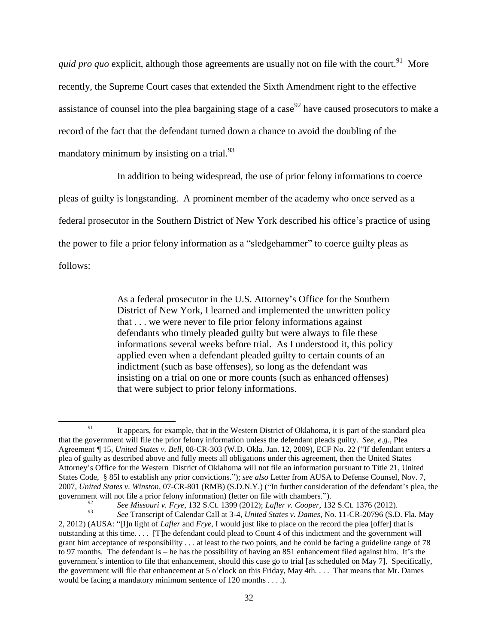quid pro quo explicit, although those agreements are usually not on file with the court.<sup>91</sup> More recently, the Supreme Court cases that extended the Sixth Amendment right to the effective assistance of counsel into the plea bargaining stage of a case<sup>92</sup> have caused prosecutors to make a record of the fact that the defendant turned down a chance to avoid the doubling of the mandatory minimum by insisting on a trial.<sup>93</sup>

In addition to being widespread, the use of prior felony informations to coerce

pleas of guilty is longstanding. A prominent member of the academy who once served as a

federal prosecutor in the Southern District of New York described his office's practice of using

the power to file a prior felony information as a "sledgehammer" to coerce guilty pleas as

follows:

92

As a federal prosecutor in the U.S. Attorney's Office for the Southern District of New York, I learned and implemented the unwritten policy that . . . we were never to file prior felony informations against defendants who timely pleaded guilty but were always to file these informations several weeks before trial. As I understood it, this policy applied even when a defendant pleaded guilty to certain counts of an indictment (such as base offenses), so long as the defendant was insisting on a trial on one or more counts (such as enhanced offenses) that were subject to prior felony informations.

 $\overline{\phantom{a}}$ <sup>91</sup> It appears, for example, that in the Western District of Oklahoma, it is part of the standard plea that the government will file the prior felony information unless the defendant pleads guilty. *See, e.g.*, Plea Agreement *¶* 15, *United States v. Bell*, 08-CR-303 (W.D. Okla. Jan. 12, 2009), ECF No. 22 ("If defendant enters a plea of guilty as described above and fully meets all obligations under this agreement, then the United States Attorney's Office for the Western District of Oklahoma will not file an information pursuant to Title 21, United States Code, § 85l to establish any prior convictions."); *see also* Letter from AUSA to Defense Counsel, Nov. 7, 2007, *United States v. Winston*, 07-CR-801 (RMB) (S.D.N.Y.) ("In further consideration of the defendant's plea, the government will not file a prior felony information) (letter on file with chambers.").

*See Missouri v. Frye*, 132 S.Ct. 1399 (2012); *Lafler v. Cooper*, 132 S.Ct. 1376 (2012).

<sup>93</sup> *See* Transcript of Calendar Call at 3-4, *United States v. Dames*, No. 11-CR-20796 (S.D. Fla. May 2, 2012) (AUSA: "[I]n light of *Lafler* and *Frye*, I would just like to place on the record the plea [offer] that is outstanding at this time. . . . [T]he defendant could plead to Count 4 of this indictment and the government will grant him acceptance of responsibility  $\dots$  at least to the two points, and he could be facing a guideline range of 78 to 97 months. The defendant is – he has the possibility of having an 851 enhancement filed against him. It's the government's intention to file that enhancement, should this case go to trial [as scheduled on May 7]. Specifically, the government will file that enhancement at 5 o'clock on this Friday, May 4th. . . . That means that Mr. Dames would be facing a mandatory minimum sentence of 120 months . . . .).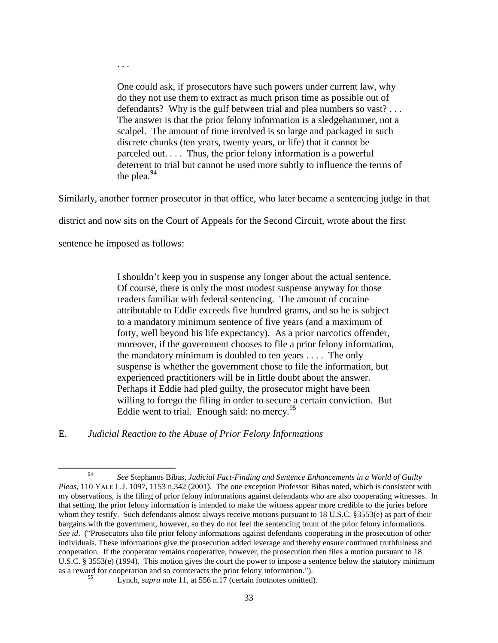One could ask, if prosecutors have such powers under current law, why do they not use them to extract as much prison time as possible out of defendants? Why is the gulf between trial and plea numbers so vast?... The answer is that the prior felony information is a sledgehammer, not a scalpel. The amount of time involved is so large and packaged in such discrete chunks (ten years, twenty years, or life) that it cannot be parceled out. . . . Thus, the prior felony information is a powerful deterrent to trial but cannot be used more subtly to influence the terms of the plea. $94$ 

Similarly, another former prosecutor in that office, who later became a sentencing judge in that

district and now sits on the Court of Appeals for the Second Circuit, wrote about the first

sentence he imposed as follows:

. . .

I shouldn't keep you in suspense any longer about the actual sentence. Of course, there is only the most modest suspense anyway for those readers familiar with federal sentencing. The amount of cocaine attributable to Eddie exceeds five hundred grams, and so he is subject to a mandatory minimum sentence of five years (and a maximum of forty, well beyond his life expectancy). As a prior narcotics offender, moreover, if the government chooses to file a prior felony information, the mandatory minimum is doubled to ten years . . . . The only suspense is whether the government chose to file the information, but experienced practitioners will be in little doubt about the answer. Perhaps if Eddie had pled guilty, the prosecutor might have been willing to forego the filing in order to secure a certain conviction. But Eddie went to trial. Enough said: no mercy.  $95$ 

E. *Judicial Reaction to the Abuse of Prior Felony Informations*

 $\overline{a}$ <sup>94</sup> *See* Stephanos Bibas, *Judicial Fact-Finding and Sentence Enhancements in a World of Guilty Pleas*, 110 YALE L.J. 1097, 1153 n.342 (2001). The one exception Professor Bibas noted, which is consistent with my observations, is the filing of prior felony informations against defendants who are also cooperating witnesses. In that setting, the prior felony information is intended to make the witness appear more credible to the juries before whom they testify. Such defendants almost always receive motions pursuant to 18 U.S.C. §3553(e) as part of their bargains with the government, however, so they do not feel the sentencing brunt of the prior felony informations. *See id*. ("Prosecutors also file prior felony informations against defendants cooperating in the prosecution of other individuals. These informations give the prosecution added leverage and thereby ensure continued truthfulness and cooperation. If the cooperator remains cooperative, however, the prosecution then files a motion pursuant to 18 U.S.C. § 3553(e) (1994). This motion gives the court the power to impose a sentence below the statutory minimum as a reward for cooperation and so counteracts the prior felony information.").

Lynch, *supra* note [11,](#page-4-0) at 556 n.17 (certain footnotes omitted).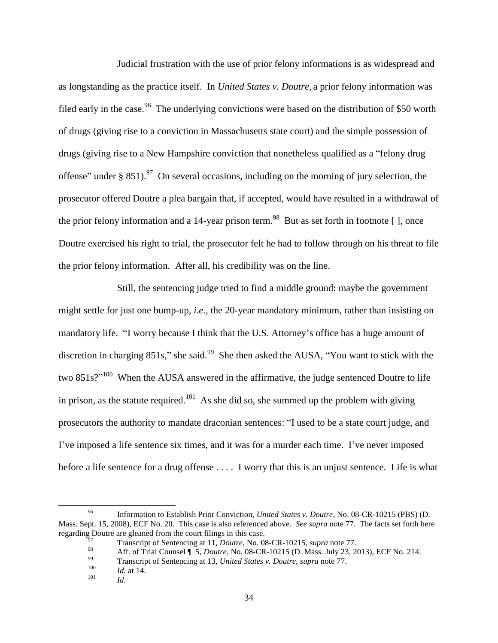Judicial frustration with the use of prior felony informations is as widespread and as longstanding as the practice itself. In *United States v. Doutre*, a prior felony information was filed early in the case.<sup>96</sup> The underlying convictions were based on the distribution of \$50 worth of drugs (giving rise to a conviction in Massachusetts state court) and the simple possession of drugs (giving rise to a New Hampshire conviction that nonetheless qualified as a "felony drug offense" under § 851).<sup>97</sup> On several occasions, including on the morning of jury selection, the prosecutor offered Doutre a plea bargain that, if accepted, would have resulted in a withdrawal of the prior felony information and a 14-year prison term.<sup>98</sup> But as set forth in footnote [], once Doutre exercised his right to trial, the prosecutor felt he had to follow through on his threat to file the prior felony information. After all, his credibility was on the line.

Still, the sentencing judge tried to find a middle ground: maybe the government might settle for just one bump-up, *i.e.,* the 20-year mandatory minimum, rather than insisting on mandatory life. "I worry because I think that the U.S. Attorney's office has a huge amount of discretion in charging  $851s$ ," she said.<sup>99</sup> She then asked the AUSA, "You want to stick with the two  $851s$ <sup> $\gamma$ 100</sup> When the AUSA answered in the affirmative, the judge sentenced Doutre to life in prison, as the statute required.<sup>101</sup> As she did so, she summed up the problem with giving prosecutors the authority to mandate draconian sentences: "I used to be a state court judge, and I've imposed a life sentence six times, and it was for a murder each time. I've never imposed before a life sentence for a drug offense . . . . I worry that this is an unjust sentence. Life is what

 $\overline{a}$ 

<sup>96</sup> Information to Establish Prior Conviction, *United States v. Doutre*, No. 08-CR-10215 (PBS) (D. Mass. Sept. 15, 2008), ECF No. 20. This case is also referenced above. *See supra* note [77.](#page-26-1) The facts set forth here regarding Doutre are gleaned from the court filings in this case.

<sup>97</sup> Transcript of Sentencing at 11, *Doutre*, No. 08-CR-10215, *supra* not[e 77.](#page-26-1)

<sup>98</sup> Aff. of Trial Counsel **| 5**, *Doutre*, No. 08-CR-10215 (D. Mass. July 23, 2013), ECF No. 214.

<sup>&</sup>lt;sup>99</sup> Transcript of Sentencing at 13, *United States v. Doutre*, *supra* note [77.](#page-26-1)

 $\frac{100}{101}$  *Id.* at 14.

*Id.*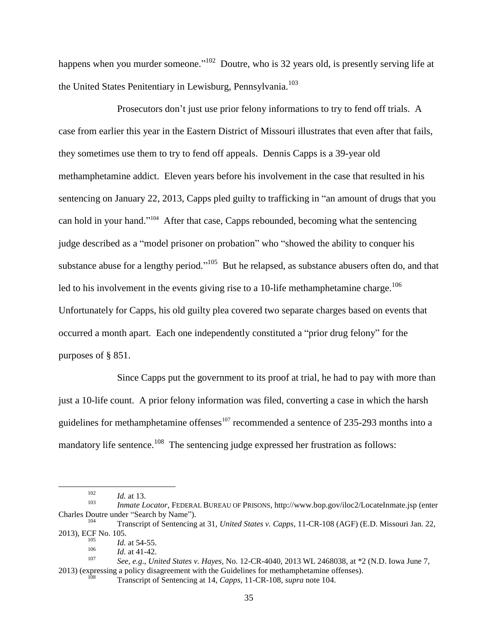happens when you murder someone."<sup>102</sup> Doutre, who is 32 years old, is presently serving life at the United States Penitentiary in Lewisburg, Pennsylvania.<sup>103</sup>

<span id="page-34-0"></span>Prosecutors don't just use prior felony informations to try to fend off trials. A case from earlier this year in the Eastern District of Missouri illustrates that even after that fails, they sometimes use them to try to fend off appeals. Dennis Capps is a 39-year old methamphetamine addict. Eleven years before his involvement in the case that resulted in his sentencing on January 22, 2013, Capps pled guilty to trafficking in "an amount of drugs that you can hold in your hand."<sup>104</sup> After that case, Capps rebounded, becoming what the sentencing judge described as a "model prisoner on probation" who "showed the ability to conquer his substance abuse for a lengthy period."<sup>105</sup> But he relapsed, as substance abusers often do, and that led to his involvement in the events giving rise to a 10-life methamphetamine charge.<sup>106</sup> Unfortunately for Capps, his old guilty plea covered two separate charges based on events that occurred a month apart. Each one independently constituted a "prior drug felony" for the purposes of § 851.

Since Capps put the government to its proof at trial, he had to pay with more than just a 10-life count. A prior felony information was filed, converting a case in which the harsh guidelines for methamphetamine offenses<sup>107</sup> recommended a sentence of  $235-293$  months into a mandatory life sentence.<sup>108</sup> The sentencing judge expressed her frustration as follows:

 $\frac{102}{103}$  *Id.* at 13.

<sup>103</sup> *Inmate Locator*, FEDERAL BUREAU OF PRISONS, http://www.bop.gov/iloc2/LocateInmate.jsp (enter Charles Doutre under "Search by Name"). 104

Transcript of Sentencing at 31, *United States v. Capps*, 11-CR-108 (AGF) (E.D. Missouri Jan. 22, 2013), ECF No. 105.

 $\frac{105}{106}$  *Id.* at 54-55.

*Id.* at 41-42. 107

*See, e.g*., *United States v. Hayes*, No. 12-CR-4040, 2013 WL 2468038, at \*2 (N.D. Iowa June 7, 2013) (expressing a policy disagreement with the Guidelines for methamphetamine offenses).

<sup>108</sup> Transcript of Sentencing at 14, *Capps*, 11-CR-108, *supra* not[e 104.](#page-34-0)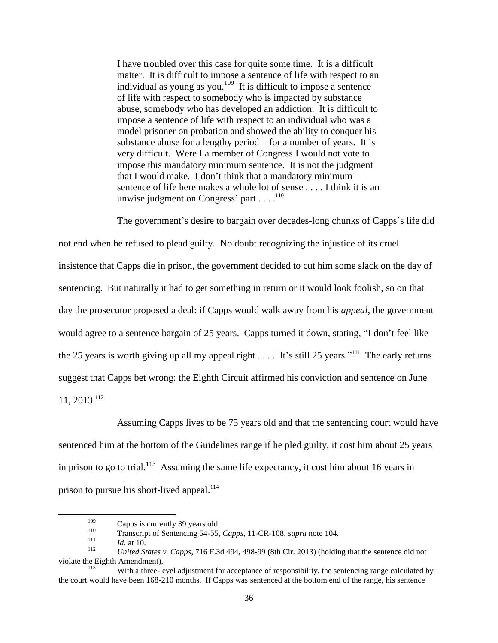I have troubled over this case for quite some time. It is a difficult matter. It is difficult to impose a sentence of life with respect to an individual as young as you.<sup>109</sup> It is difficult to impose a sentence of life with respect to somebody who is impacted by substance abuse, somebody who has developed an addiction. It is difficult to impose a sentence of life with respect to an individual who was a model prisoner on probation and showed the ability to conquer his substance abuse for a lengthy period – for a number of years. It is very difficult. Were I a member of Congress I would not vote to impose this mandatory minimum sentence. It is not the judgment that I would make. I don't think that a mandatory minimum sentence of life here makes a whole lot of sense . . . . I think it is an unwise judgment on Congress' part  $\dots$ .<sup>110</sup>

The government's desire to bargain over decades-long chunks of Capps's life did not end when he refused to plead guilty. No doubt recognizing the injustice of its cruel insistence that Capps die in prison, the government decided to cut him some slack on the day of sentencing. But naturally it had to get something in return or it would look foolish, so on that day the prosecutor proposed a deal: if Capps would walk away from his *appeal*, the government would agree to a sentence bargain of 25 years. Capps turned it down, stating, "I don't feel like the 25 years is worth giving up all my appeal right  $\dots$ . It's still 25 years."<sup>111</sup> The early returns suggest that Capps bet wrong: the Eighth Circuit affirmed his conviction and sentence on June 11, 2013. 112

Assuming Capps lives to be 75 years old and that the sentencing court would have sentenced him at the bottom of the Guidelines range if he pled guilty, it cost him about 25 years in prison to go to trial.<sup>113</sup> Assuming the same life expectancy, it cost him about 16 years in prison to pursue his short-lived appeal.<sup>114</sup>

 $\frac{109}{110}$  Capps is currently 39 years old.

<sup>110</sup> Transcript of Sentencing 54-55, *Capps*, 11-CR-108, *supra* note [104.](#page-34-0)

<sup>111</sup> *Id.* at 10.

<sup>112</sup> *United States v. Capps*, 716 F.3d 494, 498-99 (8th Cir. 2013) (holding that the sentence did not violate the Eighth Amendment).

With a three-level adjustment for acceptance of responsibility, the sentencing range calculated by the court would have been 168-210 months. If Capps was sentenced at the bottom end of the range, his sentence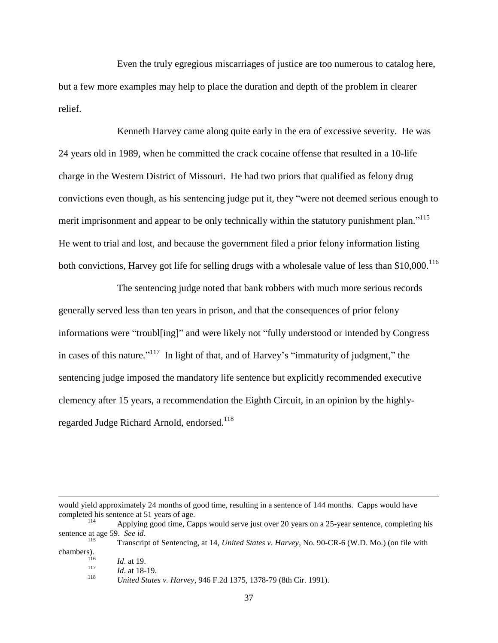Even the truly egregious miscarriages of justice are too numerous to catalog here, but a few more examples may help to place the duration and depth of the problem in clearer relief.

Kenneth Harvey came along quite early in the era of excessive severity. He was 24 years old in 1989, when he committed the crack cocaine offense that resulted in a 10-life charge in the Western District of Missouri. He had two priors that qualified as felony drug convictions even though, as his sentencing judge put it, they "were not deemed serious enough to merit imprisonment and appear to be only technically within the statutory punishment plan."<sup>115</sup> He went to trial and lost, and because the government filed a prior felony information listing both convictions, Harvey got life for selling drugs with a wholesale value of less than \$10,000.<sup>116</sup>

The sentencing judge noted that bank robbers with much more serious records generally served less than ten years in prison, and that the consequences of prior felony informations were "troubl[ing]" and were likely not "fully understood or intended by Congress in cases of this nature."<sup>117</sup> In light of that, and of Harvey's "immaturity of judgment," the sentencing judge imposed the mandatory life sentence but explicitly recommended executive clemency after 15 years, a recommendation the Eighth Circuit, in an opinion by the highlyregarded Judge Richard Arnold, endorsed.<sup>118</sup>

would yield approximately 24 months of good time, resulting in a sentence of 144 months. Capps would have completed his sentence at 51 years of age. 114

Applying good time, Capps would serve just over 20 years on a 25-year sentence, completing his sentence at age 59. *See id*.

<sup>115</sup> Transcript of Sentencing, at 14, *United States v. Harvey*, No. 90-CR-6 (W.D. Mo.) (on file with chambers).

 $\frac{116}{117}$  *Id.* at 19.

 $\frac{117}{118}$  *Id.* at 18-19.

<sup>118</sup> *United States v. Harvey*, 946 F.2d 1375, 1378-79 (8th Cir. 1991).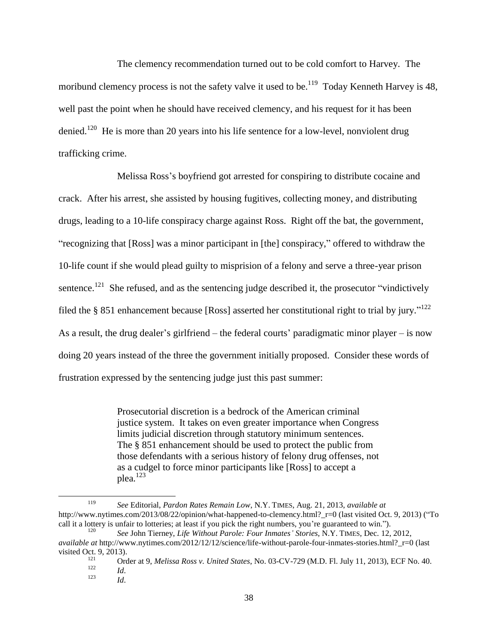<span id="page-37-0"></span>The clemency recommendation turned out to be cold comfort to Harvey. The moribund clemency process is not the safety valve it used to be.<sup>119</sup> Today Kenneth Harvey is 48, well past the point when he should have received clemency, and his request for it has been denied.<sup>120</sup> He is more than 20 years into his life sentence for a low-level, nonviolent drug trafficking crime.

Melissa Ross's boyfriend got arrested for conspiring to distribute cocaine and crack. After his arrest, she assisted by housing fugitives, collecting money, and distributing drugs, leading to a 10-life conspiracy charge against Ross. Right off the bat, the government, "recognizing that [Ross] was a minor participant in [the] conspiracy," offered to withdraw the 10-life count if she would plead guilty to misprision of a felony and serve a three-year prison sentence.<sup>121</sup> She refused, and as the sentencing judge described it, the prosecutor "vindictively filed the § 851 enhancement because [Ross] asserted her constitutional right to trial by jury."<sup>122</sup> As a result, the drug dealer's girlfriend – the federal courts' paradigmatic minor player – is now doing 20 years instead of the three the government initially proposed. Consider these words of frustration expressed by the sentencing judge just this past summer:

> Prosecutorial discretion is a bedrock of the American criminal justice system. It takes on even greater importance when Congress limits judicial discretion through statutory minimum sentences. The § 851 enhancement should be used to protect the public from those defendants with a serious history of felony drug offenses, not as a cudgel to force minor participants like [Ross] to accept a plea.<sup>123</sup>

<sup>119</sup> *See* Editorial, *Pardon Rates Remain Low*, N.Y. TIMES, Aug. 21, 2013, *available at* http://www.nytimes.com/2013/08/22/opinion/what-happened-to-clemency.html? r=0 (last visited Oct. 9, 2013) ("To call it a lottery is unfair to lotteries; at least if you pick the right numbers, you're guaranteed to win.").

<sup>120</sup> *See* John Tierney, *Life Without Parole: Four Inmates' Stories*, N.Y. TIMES, Dec. 12, 2012, *available at http://www.nytimes.com/2012/12/12/science/life-without-parole-four-inmates-stories.html? r=0 (last* visited Oct. 9, 2013).

<sup>&</sup>lt;sup>121</sup> Order at 9, *Melissa Ross v. United States*, No. 03-CV-729 (M.D. Fl. July 11, 2013), ECF No. 40.<br><sup>122</sup>  $\frac{122}{123}$  *Id.* 

*Id.*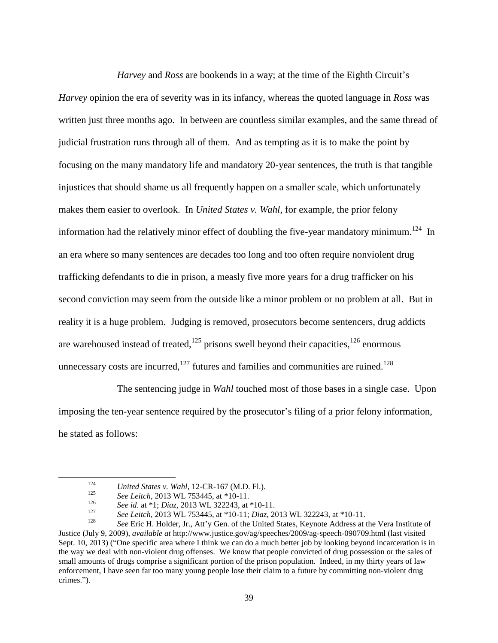*Harvey* and *Ross* are bookends in a way; at the time of the Eighth Circuit's *Harvey* opinion the era of severity was in its infancy, whereas the quoted language in *Ross* was written just three months ago. In between are countless similar examples, and the same thread of judicial frustration runs through all of them. And as tempting as it is to make the point by focusing on the many mandatory life and mandatory 20-year sentences, the truth is that tangible injustices that should shame us all frequently happen on a smaller scale, which unfortunately makes them easier to overlook. In *United States v. Wahl*, for example, the prior felony information had the relatively minor effect of doubling the five-year mandatory minimum.<sup>124</sup> In an era where so many sentences are decades too long and too often require nonviolent drug trafficking defendants to die in prison, a measly five more years for a drug trafficker on his second conviction may seem from the outside like a minor problem or no problem at all. But in reality it is a huge problem. Judging is removed, prosecutors become sentencers, drug addicts are warehoused instead of treated,  $125$  prisons swell beyond their capacities,  $126$  enormous unnecessary costs are incurred, $127$  futures and families and communities are ruined.<sup>128</sup>

The sentencing judge in *Wahl* touched most of those bases in a single case. Upon imposing the ten-year sentence required by the prosecutor's filing of a prior felony information, he stated as follows:

<span id="page-38-0"></span><sup>124</sup> *United States v. Wahl*, 12-CR-167 (M.D. Fl.).<br>125 *United States v. Wahl*, 12-2445 *at*  $\frac{*10}{21}$ 

<sup>&</sup>lt;sup>125</sup> *See Leitch*, 2013 WL 753445, at \*10-11.

<sup>126</sup> *See id*. at \*1; *Diaz*, 2013 WL 322243, at \*10-11.

<sup>127</sup> *See Leitch*, 2013 WL 753445, at \*10-11; *Diaz*, 2013 WL 322243, at \*10-11.

See Eric H. Holder, Jr., Att'y Gen. of the United States, Keynote Address at the Vera Institute of Justice (July 9, 2009), *available at* http://www.justice.gov/ag/speeches/2009/ag-speech-090709.html (last visited Sept. 10, 2013) ("One specific area where I think we can do a much better job by looking beyond incarceration is in the way we deal with non-violent drug offenses. We know that people convicted of drug possession or the sales of small amounts of drugs comprise a significant portion of the prison population. Indeed, in my thirty years of law enforcement, I have seen far too many young people lose their claim to a future by committing non-violent drug crimes.").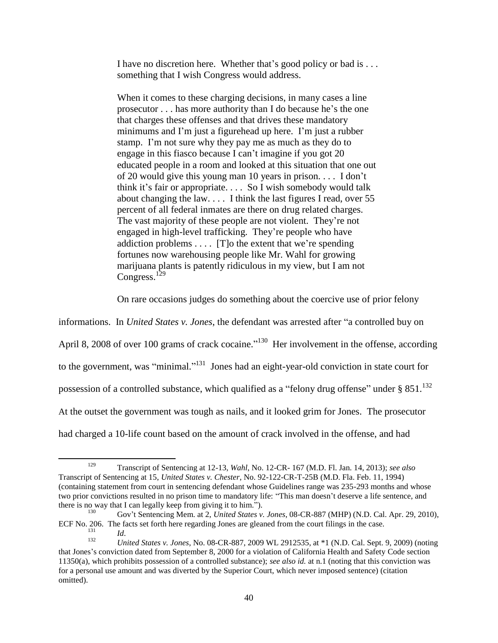I have no discretion here. Whether that's good policy or bad is . . . something that I wish Congress would address.

When it comes to these charging decisions, in many cases a line prosecutor . . . has more authority than I do because he's the one that charges these offenses and that drives these mandatory minimums and I'm just a figurehead up here. I'm just a rubber stamp. I'm not sure why they pay me as much as they do to engage in this fiasco because I can't imagine if you got 20 educated people in a room and looked at this situation that one out of 20 would give this young man 10 years in prison. . . . I don't think it's fair or appropriate. . . . So I wish somebody would talk about changing the law.... I think the last figures I read, over  $55$ percent of all federal inmates are there on drug related charges. The vast majority of these people are not violent. They're not engaged in high-level trafficking. They're people who have addiction problems . . . . [T]o the extent that we're spending fortunes now warehousing people like Mr. Wahl for growing marijuana plants is patently ridiculous in my view, but I am not Congress.<sup>129</sup>

<span id="page-39-0"></span>On rare occasions judges do something about the coercive use of prior felony

informations. In *United States v. Jones*, the defendant was arrested after "a controlled buy on April 8, 2008 of over 100 grams of crack cocaine."<sup>130</sup> Her involvement in the offense, according to the government, was "minimal."<sup>131</sup> Jones had an eight-year-old conviction in state court for possession of a controlled substance, which qualified as a "felony drug offense" under  $\S 851$ .<sup>132</sup> At the outset the government was tough as nails, and it looked grim for Jones. The prosecutor had charged a 10-life count based on the amount of crack involved in the offense, and had

<sup>129</sup> Transcript of Sentencing at 12-13, *Wahl*, No. 12-CR- 167 (M.D. Fl. Jan. 14, 2013); *see also*  Transcript of Sentencing at 15, *United States v. Chester*, No. 92-122-CR-T-25B (M.D. Fla. Feb. 11, 1994) (containing statement from court in sentencing defendant whose Guidelines range was 235-293 months and whose two prior convictions resulted in no prison time to mandatory life: "This man doesn't deserve a life sentence, and there is no way that I can legally keep from giving it to him.").

<sup>130</sup> Gov't Sentencing Mem. at 2, *United States v. Jones*, 08-CR-887 (MHP) (N.D. Cal. Apr. 29, 2010), ECF No. 206. The facts set forth here regarding Jones are gleaned from the court filings in the case.

 $\frac{131}{132}$  *Id.* 

<sup>132</sup> *United States v. Jones*, No. 08-CR-887, 2009 WL 2912535, at \*1 (N.D. Cal. Sept. 9, 2009) (noting that Jones's conviction dated from September 8, 2000 for a violation of California Health and Safety Code section 11350(a), which prohibits possession of a controlled substance); *see also id.* at n.1 (noting that this conviction was for a personal use amount and was diverted by the Superior Court, which never imposed sentence) (citation omitted).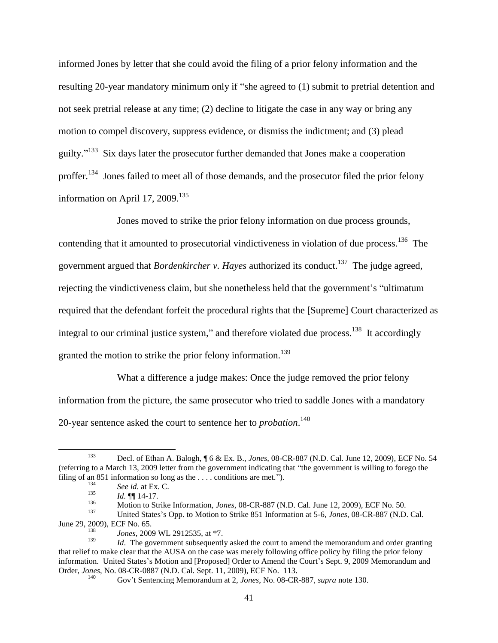informed Jones by letter that she could avoid the filing of a prior felony information and the resulting 20-year mandatory minimum only if "she agreed to (1) submit to pretrial detention and not seek pretrial release at any time; (2) decline to litigate the case in any way or bring any motion to compel discovery, suppress evidence, or dismiss the indictment; and (3) plead guilty."<sup>133</sup> Six days later the prosecutor further demanded that Jones make a cooperation proffer.<sup>134</sup> Jones failed to meet all of those demands, and the prosecutor filed the prior felony information on April 17, 2009.<sup>135</sup>

Jones moved to strike the prior felony information on due process grounds, contending that it amounted to prosecutorial vindictiveness in violation of due process.  $136$  The government argued that *Bordenkircher v. Hayes* authorized its conduct.<sup>137</sup> The judge agreed, rejecting the vindictiveness claim, but she nonetheless held that the government's "ultimatum required that the defendant forfeit the procedural rights that the [Supreme] Court characterized as integral to our criminal justice system," and therefore violated due process.<sup>138</sup> It accordingly granted the motion to strike the prior felony information.<sup>139</sup>

What a difference a judge makes: Once the judge removed the prior felony information from the picture, the same prosecutor who tried to saddle Jones with a mandatory 20-year sentence asked the court to sentence her to *probation*. 140

 $\overline{a}$ 

<sup>133</sup> Decl. of Ethan A. Balogh, ¶ 6 & Ex. B., *Jones*, 08-CR-887 (N.D. Cal. June 12, 2009), ECF No. 54 (referring to a March 13, 2009 letter from the government indicating that "the government is willing to forego the filing of an 851 information so long as the ... . conditions are met.").

<sup>&</sup>lt;sup>134</sup> *See id.* at Ex. C.<br><sup>135</sup> *M* **14** 17

 $\frac{135}{136}$  *Id.*  $\P\P$  14-17.

<sup>136</sup> Motion to Strike Information, *Jones*, 08-CR-887 (N.D. Cal. June 12, 2009), ECF No. 50.<br>1<sup>37</sup> Heiter States's One to Mation to Strike 851 Information at 5.6. June 08:CD 887 (N.D.

<sup>137</sup> United States's Opp. to Motion to Strike 851 Information at 5-6, *Jones*, 08-CR-887 (N.D. Cal. June 29, 2009), ECF No. 65.

<sup>&</sup>lt;sup>138</sup> *Jones,* 2009 WL 2912535, at \*7.

*Id.* The government subsequently asked the court to amend the memorandum and order granting that relief to make clear that the AUSA on the case was merely following office policy by filing the prior felony information. United States's Motion and [Proposed] Order to Amend the Court's Sept. 9, 2009 Memorandum and Order, *Jones*, No. 08-CR-0887 (N.D. Cal. Sept. 11, 2009), ECF No. 113.

<sup>140</sup> Gov't Sentencing Memorandum at 2, *Jones*, No. 08-CR-887, *supra* not[e 130.](#page-39-0)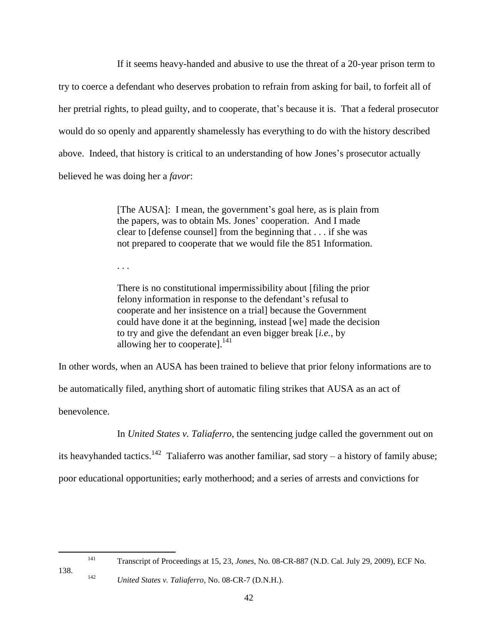If it seems heavy-handed and abusive to use the threat of a 20-year prison term to try to coerce a defendant who deserves probation to refrain from asking for bail, to forfeit all of her pretrial rights, to plead guilty, and to cooperate, that's because it is. That a federal prosecutor would do so openly and apparently shamelessly has everything to do with the history described above. Indeed, that history is critical to an understanding of how Jones's prosecutor actually believed he was doing her a *favor*:

> [The AUSA]: I mean, the government's goal here, as is plain from the papers, was to obtain Ms. Jones' cooperation. And I made clear to [defense counsel] from the beginning that . . . if she was not prepared to cooperate that we would file the 851 Information.

. . .

There is no constitutional impermissibility about [filing the prior felony information in response to the defendant's refusal to cooperate and her insistence on a trial] because the Government could have done it at the beginning, instead [we] made the decision to try and give the defendant an even bigger break [*i.e.*, by allowing her to cooperate]. $^{141}$ 

In other words, when an AUSA has been trained to believe that prior felony informations are to

be automatically filed, anything short of automatic filing strikes that AUSA as an act of

benevolence.

In *United States v. Taliaferro*, the sentencing judge called the government out on

its heavyhanded tactics.<sup>142</sup> Taliaferro was another familiar, sad story – a history of family abuse;

poor educational opportunities; early motherhood; and a series of arrests and convictions for

<sup>141</sup> Transcript of Proceedings at 15, 23, *Jones*, No. 08-CR-887 (N.D. Cal. July 29, 2009), ECF No.

138.

<sup>142</sup> *United States v. Taliaferro*, No. 08-CR-7 (D.N.H.).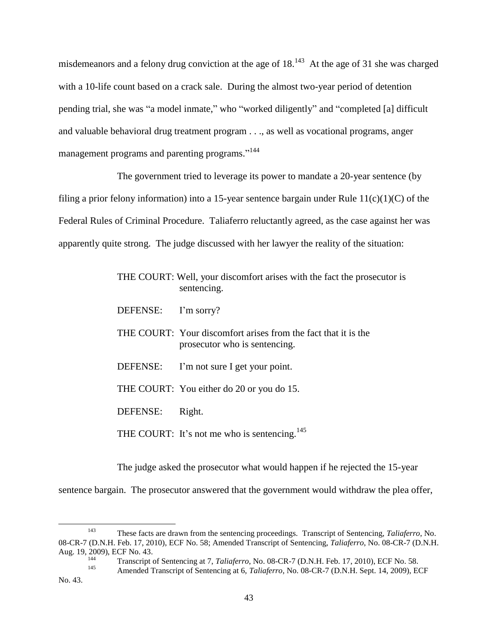<span id="page-42-0"></span>misdemeanors and a felony drug conviction at the age of  $18$ .<sup>143</sup> At the age of 31 she was charged with a 10-life count based on a crack sale. During the almost two-year period of detention pending trial, she was "a model inmate," who "worked diligently" and "completed [a] difficult and valuable behavioral drug treatment program . . ., as well as vocational programs, anger management programs and parenting programs."<sup>144</sup>

The government tried to leverage its power to mandate a 20-year sentence (by filing a prior felony information) into a 15-year sentence bargain under Rule  $11(c)(1)(C)$  of the Federal Rules of Criminal Procedure. Taliaferro reluctantly agreed, as the case against her was apparently quite strong. The judge discussed with her lawyer the reality of the situation:

|          | THE COURT: Well, your discomfort arises with the fact the prosecutor is<br>sentencing.          |
|----------|-------------------------------------------------------------------------------------------------|
| DEFENSE: | I'm sorry?                                                                                      |
|          | THE COURT: Your discomfort arises from the fact that it is the<br>prosecutor who is sentencing. |
| DEFENSE: | I'm not sure I get your point.                                                                  |
|          | THE COURT: You either do 20 or you do 15.                                                       |
| DEFENSE: | Right.                                                                                          |
|          | THE COURT: It's not me who is sentencing. <sup>145</sup>                                        |

The judge asked the prosecutor what would happen if he rejected the 15-year

sentence bargain. The prosecutor answered that the government would withdraw the plea offer,

l

<sup>143</sup> These facts are drawn from the sentencing proceedings. Transcript of Sentencing, *Taliaferro*, No. 08-CR-7 (D.N.H. Feb. 17, 2010), ECF No. 58; Amended Transcript of Sentencing, *Taliaferro*, No. 08-CR-7 (D.N.H. Aug. 19, 2009), ECF No. 43.

<sup>144</sup> Transcript of Sentencing at 7, *Taliaferro*, No. 08-CR-7 (D.N.H. Feb. 17, 2010), ECF No. 58.<br>145 Amerika de Capital de Capital de Capital de Capital de Capital de Capital de Capital de Capital de Capital de Capital de

<sup>145</sup> Amended Transcript of Sentencing at 6, *Taliaferro*, No. 08-CR-7 (D.N.H. Sept. 14, 2009), ECF No. 43.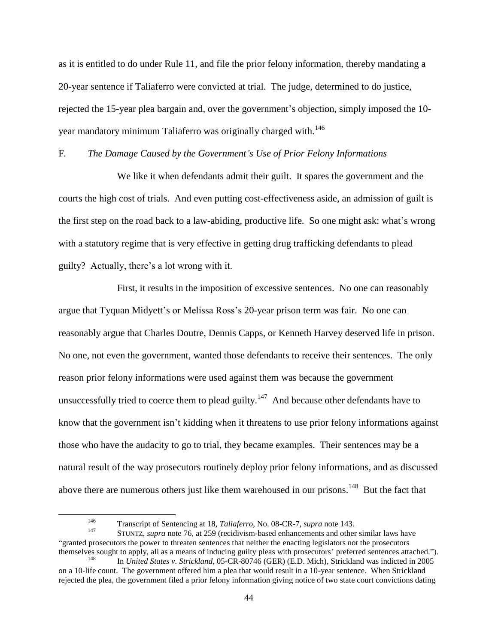as it is entitled to do under Rule 11, and file the prior felony information, thereby mandating a 20-year sentence if Taliaferro were convicted at trial. The judge, determined to do justice, rejected the 15-year plea bargain and, over the government's objection, simply imposed the 10 year mandatory minimum Taliaferro was originally charged with.<sup>146</sup>

F*. The Damage Caused by the Government's Use of Prior Felony Informations*

We like it when defendants admit their guilt. It spares the government and the courts the high cost of trials. And even putting cost-effectiveness aside, an admission of guilt is the first step on the road back to a law-abiding, productive life. So one might ask: what's wrong with a statutory regime that is very effective in getting drug trafficking defendants to plead guilty? Actually, there's a lot wrong with it.

First, it results in the imposition of excessive sentences. No one can reasonably argue that Tyquan Midyett's or Melissa Ross's 20-year prison term was fair. No one can reasonably argue that Charles Doutre, Dennis Capps, or Kenneth Harvey deserved life in prison. No one, not even the government, wanted those defendants to receive their sentences. The only reason prior felony informations were used against them was because the government unsuccessfully tried to coerce them to plead guilty.<sup>147</sup> And because other defendants have to know that the government isn't kidding when it threatens to use prior felony informations against those who have the audacity to go to trial, they became examples. Their sentences may be a natural result of the way prosecutors routinely deploy prior felony informations, and as discussed above there are numerous others just like them warehoused in our prisons.<sup>148</sup> But the fact that

<span id="page-43-0"></span><sup>146</sup> Transcript of Sentencing at 18, *Taliaferro*, No. 08-CR-7, *supra* note [143.](#page-42-0)

<sup>147</sup> STUNTZ, *supra* note [76,](#page-25-1) at 259 (recidivism-based enhancements and other similar laws have "granted prosecutors the power to threaten sentences that neither the enacting legislators not the prosecutors themselves sought to apply, all as a means of inducing guilty pleas with prosecutors' preferred sentences attached.").

<sup>148</sup> In *United States v. Strickland*, 05-CR-80746 (GER) (E.D. Mich), Strickland was indicted in 2005 on a 10-life count. The government offered him a plea that would result in a 10-year sentence. When Strickland rejected the plea, the government filed a prior felony information giving notice of two state court convictions dating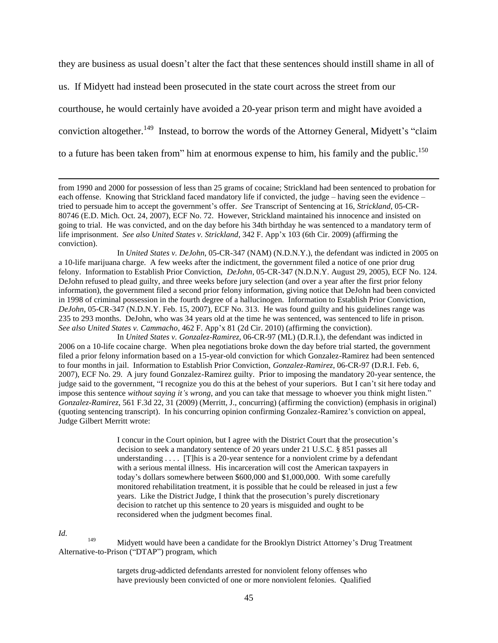they are business as usual doesn't alter the fact that these sentences should instill shame in all of

us. If Midyett had instead been prosecuted in the state court across the street from our courthouse, he would certainly have avoided a 20-year prison term and might have avoided a conviction altogether.<sup>149</sup> Instead, to borrow the words of the Attorney General, Midyett's "claim to a future has been taken from" him at enormous expense to him, his family and the public.<sup>150</sup>

from 1990 and 2000 for possession of less than 25 grams of cocaine; Strickland had been sentenced to probation for each offense. Knowing that Strickland faced mandatory life if convicted, the judge – having seen the evidence – tried to persuade him to accept the government's offer. *See* Transcript of Sentencing at 16, *Strickland*, 05-CR-80746 (E.D. Mich. Oct. 24, 2007), ECF No. 72. However, Strickland maintained his innocence and insisted on going to trial. He was convicted, and on the day before his 34th birthday he was sentenced to a mandatory term of life imprisonment. *See also United States v. Strickland*, 342 F. App'x 103 (6th Cir. 2009) (affirming the conviction).

In *United States v. DeJohn*, 05-CR-347 (NAM) (N.D.N.Y.), the defendant was indicted in 2005 on a 10-life marijuana charge. A few weeks after the indictment, the government filed a notice of one prior drug felony. Information to Establish Prior Conviction, *DeJohn*, 05-CR-347 (N.D.N.Y. August 29, 2005), ECF No. 124. DeJohn refused to plead guilty, and three weeks before jury selection (and over a year after the first prior felony information), the government filed a second prior felony information, giving notice that DeJohn had been convicted in 1998 of criminal possession in the fourth degree of a hallucinogen. Information to Establish Prior Conviction, *DeJohn*, 05-CR-347 (N.D.N.Y. Feb. 15, 2007), ECF No. 313. He was found guilty and his guidelines range was 235 to 293 months. DeJohn, who was 34 years old at the time he was sentenced, was sentenced to life in prison. *See also United States v. Cammacho*, 462 F. App'x 81 (2d Cir. 2010) (affirming the conviction).

In *United States v. Gonzalez-Ramirez*, 06-CR-97 (ML) (D.R.I.), the defendant was indicted in 2006 on a 10-life cocaine charge. When plea negotiations broke down the day before trial started, the government filed a prior felony information based on a 15-year-old conviction for which Gonzalez-Ramirez had been sentenced to four months in jail. Information to Establish Prior Conviction, *Gonzalez-Ramirez*, 06-CR-97 (D.R.I. Feb. 6, 2007), ECF No. 29. A jury found Gonzalez-Ramirez guilty. Prior to imposing the mandatory 20-year sentence, the judge said to the government, "I recognize you do this at the behest of your superiors. But I can't sit here today and impose this sentence *without saying it's wrong*, and you can take that message to whoever you think might listen." *Gonzalez-Ramirez*, 561 F.3d 22, 31 (2009) (Merritt, J., concurring) (affirming the conviction) (emphasis in original) (quoting sentencing transcript). In his concurring opinion confirming Gonzalez-Ramirez's conviction on appeal, Judge Gilbert Merritt wrote:

> I concur in the Court opinion, but I agree with the District Court that the prosecution's decision to seek a mandatory sentence of 20 years under 21 U.S.C. § 851 passes all understanding  $\dots$ . [T]his is a 20-year sentence for a nonviolent crime by a defendant with a serious mental illness. His incarceration will cost the American taxpayers in today's dollars somewhere between \$600,000 and \$1,000,000. With some carefully monitored rehabilitation treatment, it is possible that he could be released in just a few years. Like the District Judge, I think that the prosecution's purely discretionary decision to ratchet up this sentence to 20 years is misguided and ought to be reconsidered when the judgment becomes final.

*Id.* 

 $\overline{\phantom{a}}$ 

<sup>149</sup> Midyett would have been a candidate for the Brooklyn District Attorney's Drug Treatment Alternative-to-Prison ("DTAP") program, which

> targets drug-addicted defendants arrested for nonviolent felony offenses who have previously been convicted of one or more nonviolent felonies. Qualified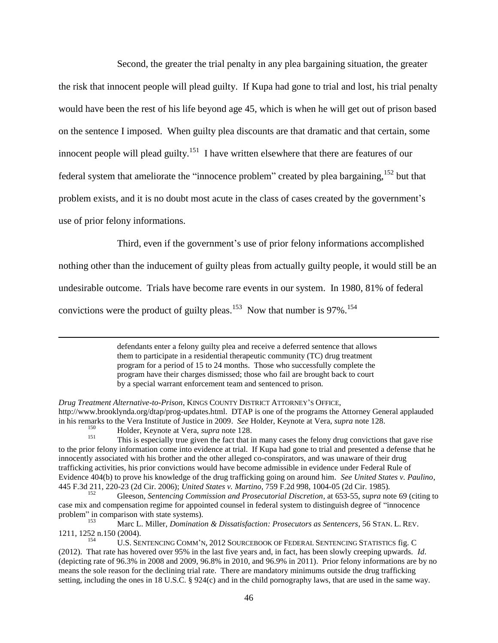Second, the greater the trial penalty in any plea bargaining situation, the greater the risk that innocent people will plead guilty. If Kupa had gone to trial and lost, his trial penalty would have been the rest of his life beyond age 45, which is when he will get out of prison based on the sentence I imposed. When guilty plea discounts are that dramatic and that certain, some innocent people will plead guilty.<sup>151</sup> I have written elsewhere that there are features of our federal system that ameliorate the "innocence problem" created by plea bargaining,<sup>152</sup> but that problem exists, and it is no doubt most acute in the class of cases created by the government's use of prior felony informations.

Third, even if the government's use of prior felony informations accomplished

nothing other than the inducement of guilty pleas from actually guilty people, it would still be an undesirable outcome. Trials have become rare events in our system. In 1980, 81% of federal

convictions were the product of guilty pleas.<sup>153</sup> Now that number is 97%.<sup>154</sup>

defendants enter a felony guilty plea and receive a deferred sentence that allows them to participate in a residential therapeutic community (TC) drug treatment program for a period of 15 to 24 months. Those who successfully complete the program have their charges dismissed; those who fail are brought back to court by a special warrant enforcement team and sentenced to prison.

 $\overline{a}$ 

*Drug Treatment Alternative-to-Prison*, KINGS COUNTY DISTRICT ATTORNEY'S OFFICE, http://www.brooklynda.org/dtap/prog-updates.html. DTAP is one of the programs the Attorney General applauded in his remarks to the Vera Institute of Justice in 2009. *See* Holder, Keynote at Vera, *supra* note [128.](#page-38-0)  150

<sup>&</sup>lt;sup>150</sup> Holder, Keynote at Vera, *supra* note [128.](#page-38-0)

This is especially true given the fact that in many cases the felony drug convictions that gave rise to the prior felony information come into evidence at trial. If Kupa had gone to trial and presented a defense that he innocently associated with his brother and the other alleged co-conspirators, and was unaware of their drug trafficking activities, his prior convictions would have become admissible in evidence under Federal Rule of Evidence 404(b) to prove his knowledge of the drug trafficking going on around him. *See United States v. Paulino*, 445 F.3d 211, 220-23 (2d Cir. 2006); *United States v. Martino*, 759 F.2d 998, 1004-05 (2d Cir. 1985).

<sup>152</sup> Gleeson, *Sentencing Commission and Prosecutorial Discretion*, at 653-55, *supra* note [69](#page-23-0) (citing to case mix and compensation regime for appointed counsel in federal system to distinguish degree of "innocence problem" in comparison with state systems).<br>
Man L Miller Domination

<sup>153</sup> Marc L. Miller, *Domination & Dissatisfaction: Prosecutors as Sentencers*, 56 STAN. L. REV. 1211, 1252 n.150 (2004).

<sup>154</sup> U.S. SENTENCING COMM'N, 2012 SOURCEBOOK OF FEDERAL SENTENCING STATISTICS fig. C (2012). That rate has hovered over 95% in the last five years and, in fact, has been slowly creeping upwards. *Id*. (depicting rate of 96.3% in 2008 and 2009, 96.8% in 2010, and 96.9% in 2011). Prior felony informations are by no means the sole reason for the declining trial rate. There are mandatory minimums outside the drug trafficking setting, including the ones in 18 U.S.C. § 924(c) and in the child pornography laws, that are used in the same way.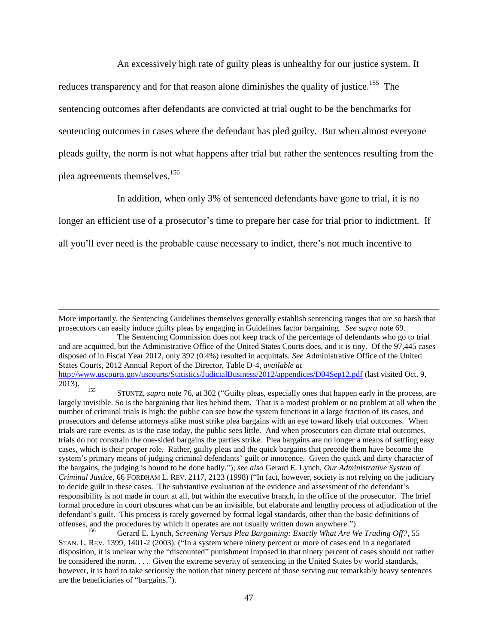An excessively high rate of guilty pleas is unhealthy for our justice system. It reduces transparency and for that reason alone diminishes the quality of justice.<sup>155</sup> The sentencing outcomes after defendants are convicted at trial ought to be the benchmarks for sentencing outcomes in cases where the defendant has pled guilty. But when almost everyone pleads guilty, the norm is not what happens after trial but rather the sentences resulting from the plea agreements themselves.<sup>156</sup>

<span id="page-46-0"></span>In addition, when only 3% of sentenced defendants have gone to trial, it is no

longer an efficient use of a prosecutor's time to prepare her case for trial prior to indictment. If

all you'll ever need is the probable cause necessary to indict, there's not much incentive to

More importantly, the Sentencing Guidelines themselves generally establish sentencing ranges that are so harsh that prosecutors can easily induce guilty pleas by engaging in Guidelines factor bargaining. *See supra* note [69.](#page-23-0)

The Sentencing Commission does not keep track of the percentage of defendants who go to trial and are acquitted, but the Administrative Office of the United States Courts does, and it is tiny. Of the 97,445 cases disposed of in Fiscal Year 2012, only 392 (0.4%) resulted in acquittals. *See* Administrative Office of the United States Courts, 2012 Annual Report of the Director, Table D-4, *available at*  <http://www.uscourts.gov/uscourts/Statistics/JudicialBusiness/2012/appendices/D04Sep12.pdf> (last visited Oct. 9, 2013).

<sup>&</sup>lt;sup>155</sup> STUNTZ, *supra* note [76,](#page-25-1) at 302 ("Guilty pleas, especially ones that happen early in the process, are largely invisible. So is the bargaining that lies behind them. That is a modest problem or no problem at all when the number of criminal trials is high: the public can see how the system functions in a large fraction of its cases, and prosecutors and defense attorneys alike must strike plea bargains with an eye toward likely trial outcomes. When trials are rare events, as is the case today, the public sees little. And when prosecutors can dictate trial outcomes, trials do not constrain the one-sided bargains the parties strike. Plea bargains are no longer a means of settling easy cases, which is their proper role. Rather, guilty pleas and the quick bargains that precede them have become the system's primary means of judging criminal defendants' guilt or innocence. Given the quick and dirty character of the bargains, the judging is bound to be done badly."); *see also* Gerard E. Lynch, *Our Administrative System of Criminal Justice*, 66 FORDHAM L. REV. 2117, 2123 (1998) ("In fact, however, society is not relying on the judiciary to decide guilt in these cases. The substantive evaluation of the evidence and assessment of the defendant's responsibility is not made in court at all, but within the executive branch, in the office of the prosecutor. The brief formal procedure in court obscures what can be an invisible, but elaborate and lengthy process of adjudication of the defendant's guilt. This process is rarely governed by formal legal standards, other than the basic definitions of offenses, and the procedures by which it operates are not usually written down anywhere.")

<sup>156</sup> Gerard E. Lynch, *Screening Versus Plea Bargaining: Exactly What Are We Trading Off?*, 55 STAN. L. REV. 1399, 1401-2 (2003). ("In a system where ninety percent or more of cases end in a negotiated disposition, it is unclear why the "discounted" punishment imposed in that ninety percent of cases should not rather be considered the norm. . . . Given the extreme severity of sentencing in the United States by world standards, however, it is hard to take seriously the notion that ninety percent of those serving our remarkably heavy sentences are the beneficiaries of "bargains.").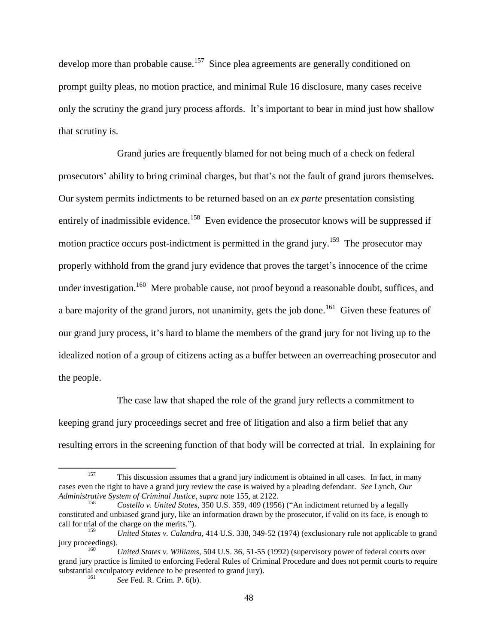develop more than probable cause.<sup>157</sup> Since plea agreements are generally conditioned on prompt guilty pleas, no motion practice, and minimal Rule 16 disclosure, many cases receive only the scrutiny the grand jury process affords. It's important to bear in mind just how shallow that scrutiny is.

Grand juries are frequently blamed for not being much of a check on federal prosecutors' ability to bring criminal charges, but that's not the fault of grand jurors themselves. Our system permits indictments to be returned based on an *ex parte* presentation consisting entirely of inadmissible evidence.<sup>158</sup> Even evidence the prosecutor knows will be suppressed if motion practice occurs post-indictment is permitted in the grand jury.<sup>159</sup> The prosecutor may properly withhold from the grand jury evidence that proves the target's innocence of the crime under investigation.<sup>160</sup> Mere probable cause, not proof beyond a reasonable doubt, suffices, and a bare majority of the grand jurors, not unanimity, gets the job done.<sup>161</sup> Given these features of our grand jury process, it's hard to blame the members of the grand jury for not living up to the idealized notion of a group of citizens acting as a buffer between an overreaching prosecutor and the people.

The case law that shaped the role of the grand jury reflects a commitment to keeping grand jury proceedings secret and free of litigation and also a firm belief that any resulting errors in the screening function of that body will be corrected at trial. In explaining for

 $\overline{a}$ 

<sup>&</sup>lt;sup>157</sup> This discussion assumes that a grand jury indictment is obtained in all cases. In fact, in many cases even the right to have a grand jury review the case is waived by a pleading defendant. *See* Lynch, *Our Administrative System of Criminal Justice*, *supra* note [155,](#page-46-0) at 2122.

<sup>158</sup> *Costello v. United States*, 350 U.S. 359, 409 (1956) ("An indictment returned by a legally constituted and unbiased grand jury, like an information drawn by the prosecutor, if valid on its face, is enough to call for trial of the charge on the merits.").

<sup>159</sup> *United States v. Calandra*, 414 U.S. 338, 349-52 (1974) (exclusionary rule not applicable to grand jury proceedings).

<sup>160</sup> *United States v. Williams*, 504 U.S. 36, 51-55 (1992) (supervisory power of federal courts over grand jury practice is limited to enforcing Federal Rules of Criminal Procedure and does not permit courts to require substantial exculpatory evidence to be presented to grand jury).

<sup>161</sup> *See* Fed. R. Crim. P. 6(b).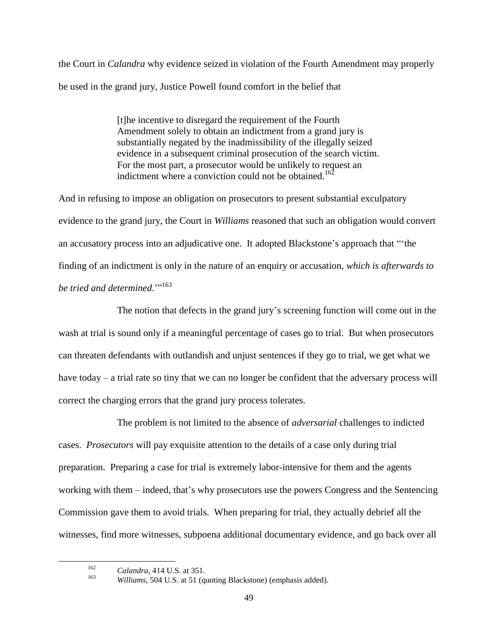the Court in *Calandra* why evidence seized in violation of the Fourth Amendment may properly be used in the grand jury, Justice Powell found comfort in the belief that

> [t]he incentive to disregard the requirement of the Fourth Amendment solely to obtain an indictment from a grand jury is substantially negated by the inadmissibility of the illegally seized evidence in a subsequent criminal prosecution of the search victim. For the most part, a prosecutor would be unlikely to request an indictment where a conviction could not be obtained.<sup>162</sup>

And in refusing to impose an obligation on prosecutors to present substantial exculpatory evidence to the grand jury, the Court in *Williams* reasoned that such an obligation would convert an accusatory process into an adjudicative one. It adopted Blackstone's approach that "'the finding of an indictment is only in the nature of an enquiry or accusation, *which is afterwards to be tried and determined.*"<sup>163</sup>

The notion that defects in the grand jury's screening function will come out in the wash at trial is sound only if a meaningful percentage of cases go to trial. But when prosecutors can threaten defendants with outlandish and unjust sentences if they go to trial, we get what we have today – a trial rate so tiny that we can no longer be confident that the adversary process will correct the charging errors that the grand jury process tolerates.

The problem is not limited to the absence of *adversarial* challenges to indicted cases. *Prosecutors* will pay exquisite attention to the details of a case only during trial preparation. Preparing a case for trial is extremely labor-intensive for them and the agents working with them – indeed, that's why prosecutors use the powers Congress and the Sentencing Commission gave them to avoid trials. When preparing for trial, they actually debrief all the witnesses, find more witnesses, subpoena additional documentary evidence, and go back over all

163

<sup>162</sup> *Calandra*, 414 U.S. at 351.

*Williams*, 504 U.S. at 51 (quoting Blackstone) (emphasis added).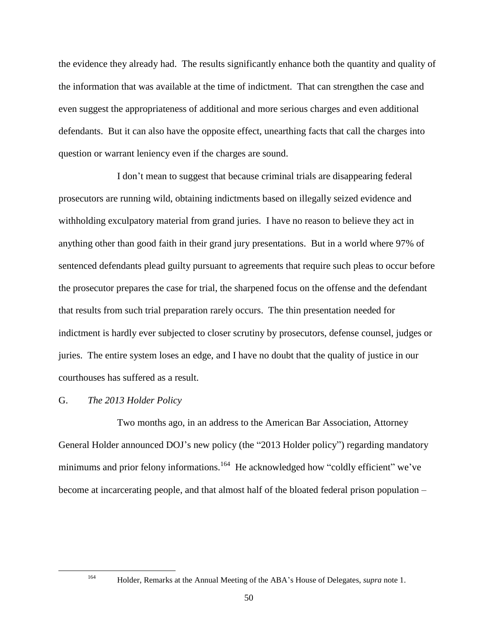the evidence they already had. The results significantly enhance both the quantity and quality of the information that was available at the time of indictment. That can strengthen the case and even suggest the appropriateness of additional and more serious charges and even additional defendants. But it can also have the opposite effect, unearthing facts that call the charges into question or warrant leniency even if the charges are sound.

I don't mean to suggest that because criminal trials are disappearing federal prosecutors are running wild, obtaining indictments based on illegally seized evidence and withholding exculpatory material from grand juries. I have no reason to believe they act in anything other than good faith in their grand jury presentations. But in a world where 97% of sentenced defendants plead guilty pursuant to agreements that require such pleas to occur before the prosecutor prepares the case for trial, the sharpened focus on the offense and the defendant that results from such trial preparation rarely occurs. The thin presentation needed for indictment is hardly ever subjected to closer scrutiny by prosecutors, defense counsel, judges or juries. The entire system loses an edge, and I have no doubt that the quality of justice in our courthouses has suffered as a result.

#### G. *The 2013 Holder Policy*

Two months ago, in an address to the American Bar Association, Attorney General Holder announced DOJ's new policy (the "2013 Holder policy") regarding mandatory minimums and prior felony informations.<sup>164</sup> He acknowledged how "coldly efficient" we've become at incarcerating people, and that almost half of the bloated federal prison population –

<sup>164</sup> Holder, Remarks at the Annual Meeting of the ABA's House of Delegates, *supra* note 1.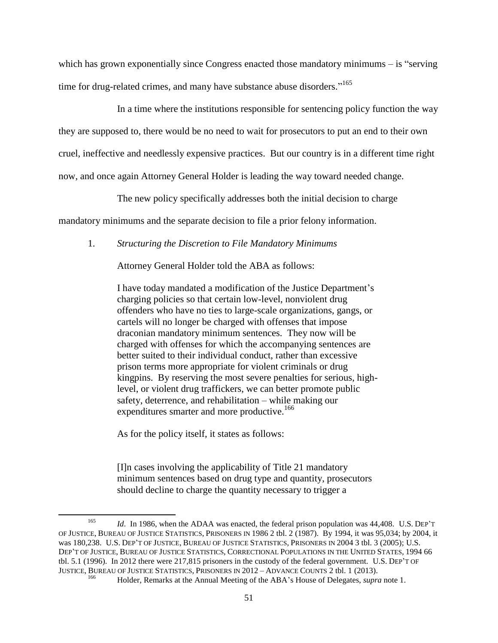which has grown exponentially since Congress enacted those mandatory minimums – is "serving time for drug-related crimes, and many have substance abuse disorders."<sup>165</sup>

In a time where the institutions responsible for sentencing policy function the way they are supposed to, there would be no need to wait for prosecutors to put an end to their own cruel, ineffective and needlessly expensive practices. But our country is in a different time right now, and once again Attorney General Holder is leading the way toward needed change.

The new policy specifically addresses both the initial decision to charge

mandatory minimums and the separate decision to file a prior felony information.

1. *Structuring the Discretion to File Mandatory Minimums*

Attorney General Holder told the ABA as follows:

I have today mandated a modification of the Justice Department's charging policies so that certain low-level, nonviolent drug offenders who have no ties to large-scale organizations, gangs, or cartels will no longer be charged with offenses that impose draconian mandatory minimum sentences. They now will be charged with offenses for which the accompanying sentences are better suited to their individual conduct, rather than excessive prison terms more appropriate for violent criminals or drug kingpins. By reserving the most severe penalties for serious, highlevel, or violent drug traffickers, we can better promote public safety, deterrence, and rehabilitation – while making our expenditures smarter and more productive.<sup>166</sup>

As for the policy itself, it states as follows:

 $\overline{\phantom{a}}$ 

[I]n cases involving the applicability of Title 21 mandatory minimum sentences based on drug type and quantity, prosecutors should decline to charge the quantity necessary to trigger a

<sup>165</sup> *Id*. In 1986, when the ADAA was enacted, the federal prison population was 44,408. U.S. DEP'T OF JUSTICE, BUREAU OF JUSTICE STATISTICS, PRISONERS IN 1986 2 tbl. 2 (1987). By 1994, it was 95,034; by 2004, it was 180,238. U.S. DEP'T OF JUSTICE, BUREAU OF JUSTICE STATISTICS, PRISONERS IN 2004 3 tbl. 3 (2005); U.S. DEP'T OF JUSTICE, BUREAU OF JUSTICE STATISTICS, CORRECTIONAL POPULATIONS IN THE UNITED STATES, 1994 66 tbl. 5.1 (1996). In 2012 there were 217,815 prisoners in the custody of the federal government. U.S. DEP'T OF JUSTICE, BUREAU OF JUSTICE STATISTICS, PRISONERS IN 2012 – ADVANCE COUNTS 2 tbl. 1 (2013).

<sup>166</sup> Holder, Remarks at the Annual Meeting of the ABA's House of Delegates, *supra* note 1.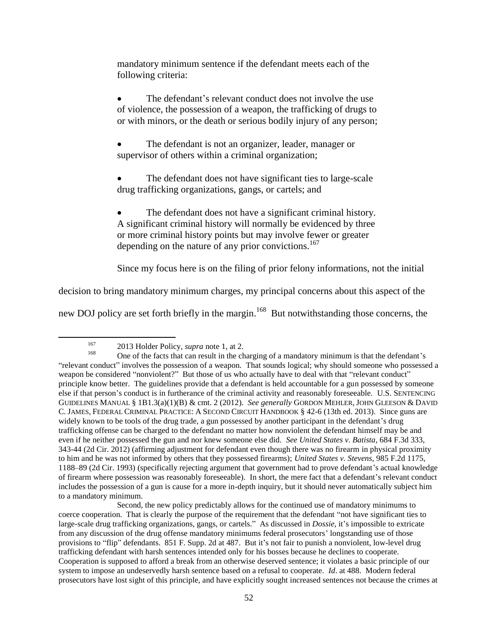mandatory minimum sentence if the defendant meets each of the following criteria:

 The defendant's relevant conduct does not involve the use of violence, the possession of a weapon, the trafficking of drugs to or with minors, or the death or serious bodily injury of any person;

 The defendant is not an organizer, leader, manager or supervisor of others within a criminal organization;

 The defendant does not have significant ties to large-scale drug trafficking organizations, gangs, or cartels; and

 The defendant does not have a significant criminal history. A significant criminal history will normally be evidenced by three or more criminal history points but may involve fewer or greater depending on the nature of any prior convictions.<sup>167</sup>

Since my focus here is on the filing of prior felony informations, not the initial

decision to bring mandatory minimum charges, my principal concerns about this aspect of the

new DOJ policy are set forth briefly in the margin.<sup>168</sup> But notwithstanding those concerns, the

 $\overline{a}$ 

<sup>167</sup> 2013 Holder Policy, *supra* note [1,](#page-0-1) at 2.

<sup>168</sup> One of the facts that can result in the charging of a mandatory minimum is that the defendant's "relevant conduct" involves the possession of a weapon. That sounds logical; why should someone who possessed a weapon be considered "nonviolent?" But those of us who actually have to deal with that "relevant conduct" principle know better. The guidelines provide that a defendant is held accountable for a gun possessed by someone else if that person's conduct is in furtherance of the criminal activity and reasonably foreseeable. U.S. SENTENCING GUIDELINES MANUAL § 1B1.3(a)(1)(B) & cmt. 2 (2012). *See generally* GORDON MEHLER, JOHN GLEESON & DAVID C. JAMES, FEDERAL CRIMINAL PRACTICE: A SECOND CIRCUIT HANDBOOK § 42-6 (13th ed. 2013). Since guns are widely known to be tools of the drug trade, a gun possessed by another participant in the defendant's drug trafficking offense can be charged to the defendant no matter how nonviolent the defendant himself may be and even if he neither possessed the gun and nor knew someone else did. *See United States v. Batista*, 684 F.3d 333, 343-44 (2d Cir. 2012) (affirming adjustment for defendant even though there was no firearm in physical proximity to him and he was not informed by others that they possessed firearms); *United States v. Stevens*, 985 F.2d 1175, 1188–89 (2d Cir. 1993) (specifically rejecting argument that government had to prove defendant's actual knowledge of firearm where possession was reasonably foreseeable). In short, the mere fact that a defendant's relevant conduct includes the possession of a gun is cause for a more in-depth inquiry, but it should never automatically subject him to a mandatory minimum.

Second, the new policy predictably allows for the continued use of mandatory minimums to coerce cooperation. That is clearly the purpose of the requirement that the defendant "not have significant ties to large-scale drug trafficking organizations, gangs, or cartels." As discussed in *Dossie*, it's impossible to extricate from any discussion of the drug offense mandatory minimums federal prosecutors' longstanding use of those provisions to "flip" defendants. 851 F. Supp. 2d at 487. But it's not fair to punish a nonviolent, low-level drug trafficking defendant with harsh sentences intended only for his bosses because he declines to cooperate. Cooperation is supposed to afford a break from an otherwise deserved sentence; it violates a basic principle of our system to impose an undeservedly harsh sentence based on a refusal to cooperate. *Id*. at 488. Modern federal prosecutors have lost sight of this principle, and have explicitly sought increased sentences not because the crimes at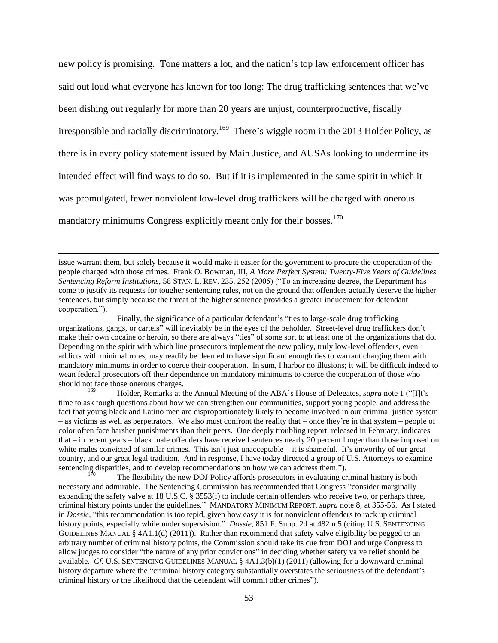new policy is promising. Tone matters a lot, and the nation's top law enforcement officer has said out loud what everyone has known for too long: The drug trafficking sentences that we've been dishing out regularly for more than 20 years are unjust, counterproductive, fiscally irresponsible and racially discriminatory.<sup>169</sup> There's wiggle room in the 2013 Holder Policy, as there is in every policy statement issued by Main Justice, and AUSAs looking to undermine its intended effect will find ways to do so. But if it is implemented in the same spirit in which it was promulgated, fewer nonviolent low-level drug traffickers will be charged with onerous mandatory minimums Congress explicitly meant only for their bosses.<sup>170</sup>

 $\overline{\phantom{a}}$ 

Finally, the significance of a particular defendant's "ties to large-scale drug trafficking organizations, gangs, or cartels" will inevitably be in the eyes of the beholder. Street-level drug traffickers don't make their own cocaine or heroin, so there are always "ties" of some sort to at least one of the organizations that do. Depending on the spirit with which line prosecutors implement the new policy, truly low-level offenders, even addicts with minimal roles, may readily be deemed to have significant enough ties to warrant charging them with mandatory minimums in order to coerce their cooperation. In sum, I harbor no illusions; it will be difficult indeed to wean federal prosecutors off their dependence on mandatory minimums to coerce the cooperation of those who should not face those onerous charges.

169 Holder, Remarks at the Annual Meeting of the ABA's House of Delegates, *supra* note 1 ("[I]t's time to ask tough questions about how we can strengthen our communities, support young people, and address the fact that young black and Latino men are disproportionately likely to become involved in our criminal justice system – as victims as well as perpetrators. We also must confront the reality that – once they're in that system – people of color often face harsher punishments than their peers. One deeply troubling report, released in February, indicates that – in recent years – black male offenders have received sentences nearly 20 percent longer than those imposed on white males convicted of similar crimes. This isn't just unacceptable – it is shameful. It's unworthy of our great country, and our great legal tradition. And in response, I have today directed a group of U.S. Attorneys to examine sentencing disparities, and to develop recommendations on how we can address them.").

The flexibility the new DOJ Policy affords prosecutors in evaluating criminal history is both necessary and admirable. The Sentencing Commission has recommended that Congress "consider marginally expanding the safety valve at 18 U.S.C. § 3553(f) to include certain offenders who receive two, or perhaps three, criminal history points under the guidelines." MANDATORY MINIMUM REPORT, *supra* note [8,](#page-2-0) at 355-56. As I stated in *Dossie*, "this recommendation is too tepid, given how easy it is for nonviolent offenders to rack up criminal history points, especially while under supervision." *Dossie*, 851 F. Supp. 2d at 482 n.5 (citing U.S. SENTENCING GUIDELINES MANUAL § 4A1.1(d) (2011)). Rather than recommend that safety valve eligibility be pegged to an arbitrary number of criminal history points, the Commission should take its cue from DOJ and urge Congress to allow judges to consider "the nature of any prior convictions" in deciding whether safety valve relief should be available. *Cf*. U.S. SENTENCING GUIDELINES MANUAL § 4A1.3(b)(1) (2011) (allowing for a downward criminal history departure where the "criminal history category substantially overstates the seriousness of the defendant's criminal history or the likelihood that the defendant will commit other crimes").

issue warrant them, but solely because it would make it easier for the government to procure the cooperation of the people charged with those crimes. Frank O. Bowman, III, *A More Perfect System: Twenty-Five Years of Guidelines Sentencing Reform Institutions*, 58 STAN. L. REV. 235, 252 (2005) ("To an increasing degree, the Department has come to justify its requests for tougher sentencing rules, not on the ground that offenders actually deserve the higher sentences, but simply because the threat of the higher sentence provides a greater inducement for defendant cooperation.").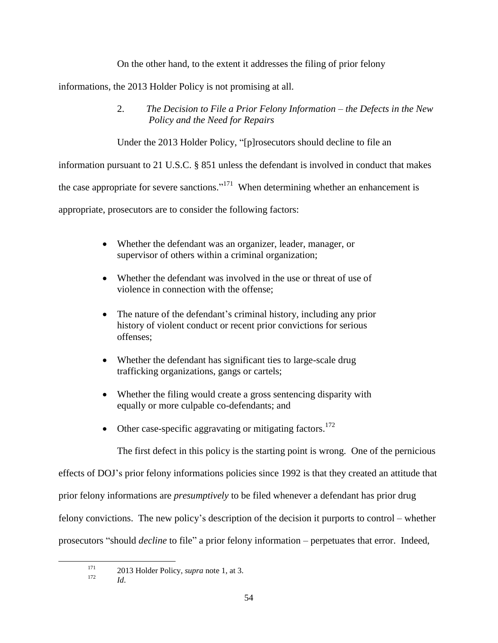On the other hand, to the extent it addresses the filing of prior felony

informations, the 2013 Holder Policy is not promising at all.

2. *The Decision to File a Prior Felony Information – the Defects in the New Policy and the Need for Repairs*

Under the 2013 Holder Policy, "[p]rosecutors should decline to file an

information pursuant to 21 U.S.C. § 851 unless the defendant is involved in conduct that makes

the case appropriate for severe sanctions."<sup>171</sup> When determining whether an enhancement is

appropriate, prosecutors are to consider the following factors:

- Whether the defendant was an organizer, leader, manager, or supervisor of others within a criminal organization;
- Whether the defendant was involved in the use or threat of use of violence in connection with the offense;
- The nature of the defendant's criminal history, including any prior history of violent conduct or recent prior convictions for serious offenses;
- Whether the defendant has significant ties to large-scale drug trafficking organizations, gangs or cartels;
- Whether the filing would create a gross sentencing disparity with equally or more culpable co-defendants; and
- Other case-specific aggravating or mitigating factors.<sup>172</sup>

The first defect in this policy is the starting point is wrong. One of the pernicious

effects of DOJ's prior felony informations policies since 1992 is that they created an attitude that

prior felony informations are *presumptively* to be filed whenever a defendant has prior drug

felony convictions. The new policy's description of the decision it purports to control – whether

prosecutors "should *decline* to file" a prior felony information – perpetuates that error. Indeed,

<sup>&</sup>lt;sup>171</sup> 2013 Holder Policy, *supra* note 1, at 3.

 $Id$ .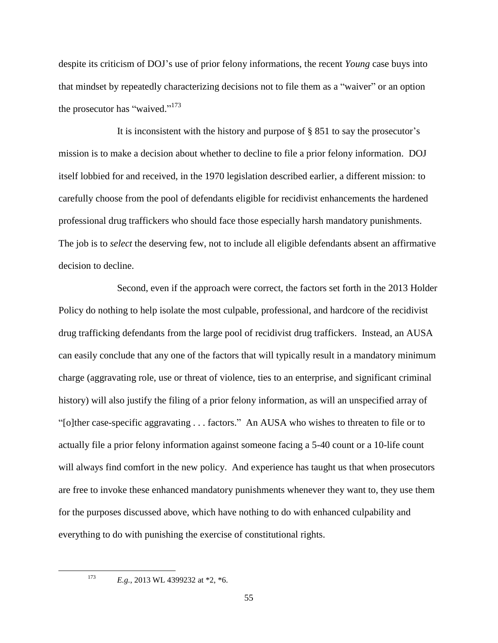despite its criticism of DOJ's use of prior felony informations, the recent *Young* case buys into that mindset by repeatedly characterizing decisions not to file them as a "waiver" or an option the prosecutor has "waived."<sup>173</sup>

It is inconsistent with the history and purpose of § 851 to say the prosecutor's mission is to make a decision about whether to decline to file a prior felony information. DOJ itself lobbied for and received, in the 1970 legislation described earlier, a different mission: to carefully choose from the pool of defendants eligible for recidivist enhancements the hardened professional drug traffickers who should face those especially harsh mandatory punishments. The job is to *select* the deserving few, not to include all eligible defendants absent an affirmative decision to decline.

Second, even if the approach were correct, the factors set forth in the 2013 Holder Policy do nothing to help isolate the most culpable, professional, and hardcore of the recidivist drug trafficking defendants from the large pool of recidivist drug traffickers. Instead, an AUSA can easily conclude that any one of the factors that will typically result in a mandatory minimum charge (aggravating role, use or threat of violence, ties to an enterprise, and significant criminal history) will also justify the filing of a prior felony information, as will an unspecified array of "[o]ther case-specific aggravating . . . factors." An AUSA who wishes to threaten to file or to actually file a prior felony information against someone facing a 5-40 count or a 10-life count will always find comfort in the new policy. And experience has taught us that when prosecutors are free to invoke these enhanced mandatory punishments whenever they want to, they use them for the purposes discussed above, which have nothing to do with enhanced culpability and everything to do with punishing the exercise of constitutional rights.

<sup>&</sup>lt;sup>173</sup> *E.g.*, 2013 WL 4399232 at \*2, \*6.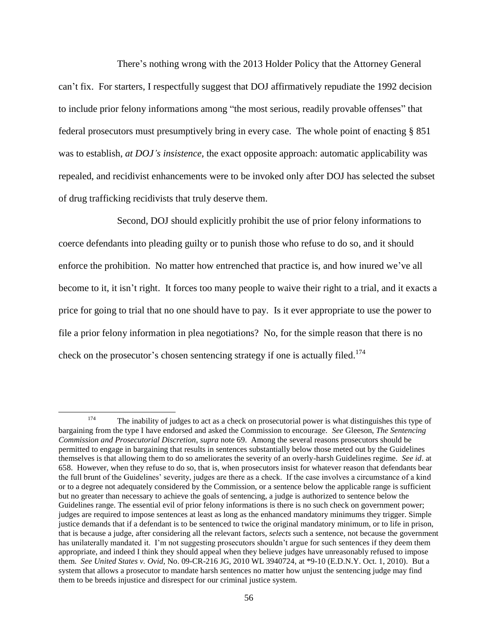There's nothing wrong with the 2013 Holder Policy that the Attorney General can't fix. For starters, I respectfully suggest that DOJ affirmatively repudiate the 1992 decision to include prior felony informations among "the most serious, readily provable offenses" that federal prosecutors must presumptively bring in every case. The whole point of enacting § 851 was to establish, *at DOJ's insistence*, the exact opposite approach: automatic applicability was repealed, and recidivist enhancements were to be invoked only after DOJ has selected the subset of drug trafficking recidivists that truly deserve them.

Second, DOJ should explicitly prohibit the use of prior felony informations to coerce defendants into pleading guilty or to punish those who refuse to do so, and it should enforce the prohibition. No matter how entrenched that practice is, and how inured we've all become to it, it isn't right. It forces too many people to waive their right to a trial, and it exacts a price for going to trial that no one should have to pay. Is it ever appropriate to use the power to file a prior felony information in plea negotiations? No, for the simple reason that there is no check on the prosecutor's chosen sentencing strategy if one is actually filed.<sup>174</sup>

 $\overline{a}$ 

<sup>&</sup>lt;sup>174</sup> The inability of judges to act as a check on prosecutorial power is what distinguishes this type of bargaining from the type I have endorsed and asked the Commission to encourage. *See* Gleeson, *The Sentencing Commission and Prosecutorial Discretion*, *supra* note [69.](#page-23-0) Among the several reasons prosecutors should be permitted to engage in bargaining that results in sentences substantially below those meted out by the Guidelines themselves is that allowing them to do so ameliorates the severity of an overly-harsh Guidelines regime. *See id*. at 658. However, when they refuse to do so, that is, when prosecutors insist for whatever reason that defendants bear the full brunt of the Guidelines' severity, judges are there as a check. If the case involves a circumstance of a kind or to a degree not adequately considered by the Commission, or a sentence below the applicable range is sufficient but no greater than necessary to achieve the goals of sentencing, a judge is authorized to sentence below the Guidelines range. The essential evil of prior felony informations is there is no such check on government power; judges are required to impose sentences at least as long as the enhanced mandatory minimums they trigger. Simple justice demands that if a defendant is to be sentenced to twice the original mandatory minimum, or to life in prison, that is because a judge, after considering all the relevant factors, *selects* such a sentence, not because the government has unilaterally mandated it. I'm not suggesting prosecutors shouldn't argue for such sentences if they deem them appropriate, and indeed I think they should appeal when they believe judges have unreasonably refused to impose them. *See United States v. Ovid*, No. 09-CR-216 JG, 2010 WL 3940724, at \*9-10 (E.D.N.Y. Oct. 1, 2010).But a system that allows a prosecutor to mandate harsh sentences no matter how unjust the sentencing judge may find them to be breeds injustice and disrespect for our criminal justice system.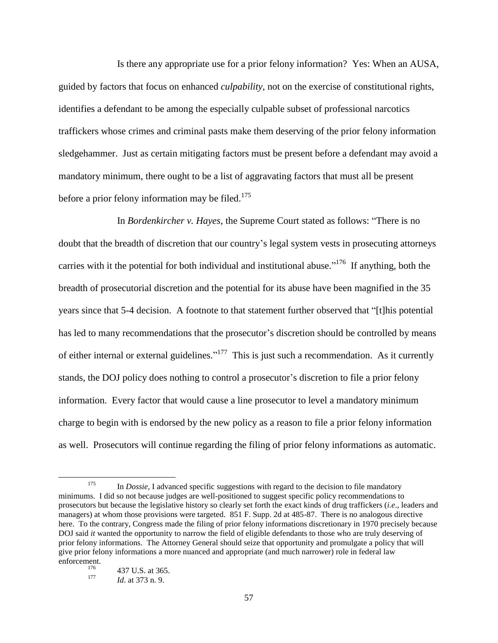Is there any appropriate use for a prior felony information? Yes: When an AUSA, guided by factors that focus on enhanced *culpability*, not on the exercise of constitutional rights, identifies a defendant to be among the especially culpable subset of professional narcotics traffickers whose crimes and criminal pasts make them deserving of the prior felony information sledgehammer. Just as certain mitigating factors must be present before a defendant may avoid a mandatory minimum, there ought to be a list of aggravating factors that must all be present before a prior felony information may be filed.<sup>175</sup>

In *Bordenkircher v. Hayes*, the Supreme Court stated as follows: "There is no doubt that the breadth of discretion that our country's legal system vests in prosecuting attorneys carries with it the potential for both individual and institutional abuse."<sup>176</sup> If anything, both the breadth of prosecutorial discretion and the potential for its abuse have been magnified in the 35 years since that 5-4 decision. A footnote to that statement further observed that "[t]his potential has led to many recommendations that the prosecutor's discretion should be controlled by means of either internal or external guidelines."<sup>177</sup> This is just such a recommendation. As it currently stands, the DOJ policy does nothing to control a prosecutor's discretion to file a prior felony information. Every factor that would cause a line prosecutor to level a mandatory minimum charge to begin with is endorsed by the new policy as a reason to file a prior felony information as well. Prosecutors will continue regarding the filing of prior felony informations as automatic.

<sup>&</sup>lt;sup>175</sup> In *Dossie*, I advanced specific suggestions with regard to the decision to file mandatory minimums. I did so not because judges are well-positioned to suggest specific policy recommendations to prosecutors but because the legislative history so clearly set forth the exact kinds of drug traffickers (*i.e*., leaders and managers) at whom those provisions were targeted. 851 F. Supp. 2d at 485-87. There is no analogous directive here. To the contrary, Congress made the filing of prior felony informations discretionary in 1970 precisely because DOJ said *it* wanted the opportunity to narrow the field of eligible defendants to those who are truly deserving of prior felony informations. The Attorney General should seize that opportunity and promulgate a policy that will give prior felony informations a more nuanced and appropriate (and much narrower) role in federal law enforcement.

*Id.* at 373 n. 9.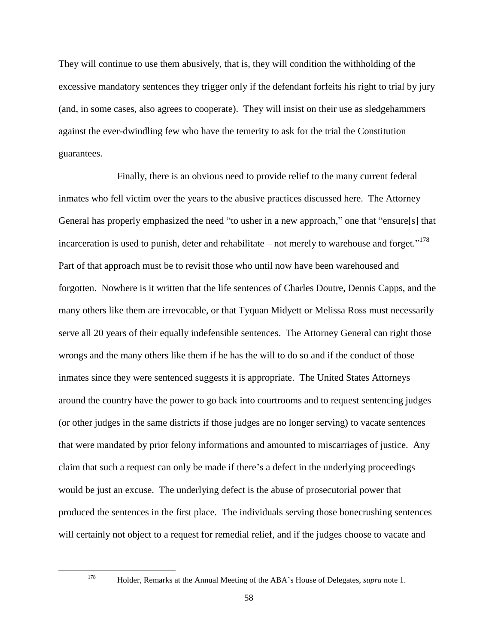They will continue to use them abusively, that is, they will condition the withholding of the excessive mandatory sentences they trigger only if the defendant forfeits his right to trial by jury (and, in some cases, also agrees to cooperate). They will insist on their use as sledgehammers against the ever-dwindling few who have the temerity to ask for the trial the Constitution guarantees.

Finally, there is an obvious need to provide relief to the many current federal inmates who fell victim over the years to the abusive practices discussed here. The Attorney General has properly emphasized the need "to usher in a new approach," one that "ensure[s] that incarceration is used to punish, deter and rehabilitate – not merely to warehouse and forget."<sup>178</sup> Part of that approach must be to revisit those who until now have been warehoused and forgotten. Nowhere is it written that the life sentences of Charles Doutre, Dennis Capps, and the many others like them are irrevocable, or that Tyquan Midyett or Melissa Ross must necessarily serve all 20 years of their equally indefensible sentences. The Attorney General can right those wrongs and the many others like them if he has the will to do so and if the conduct of those inmates since they were sentenced suggests it is appropriate. The United States Attorneys around the country have the power to go back into courtrooms and to request sentencing judges (or other judges in the same districts if those judges are no longer serving) to vacate sentences that were mandated by prior felony informations and amounted to miscarriages of justice. Any claim that such a request can only be made if there's a defect in the underlying proceedings would be just an excuse. The underlying defect is the abuse of prosecutorial power that produced the sentences in the first place. The individuals serving those bonecrushing sentences will certainly not object to a request for remedial relief, and if the judges choose to vacate and

<sup>178</sup> Holder, Remarks at the Annual Meeting of the ABA's House of Delegates, *supra* note 1.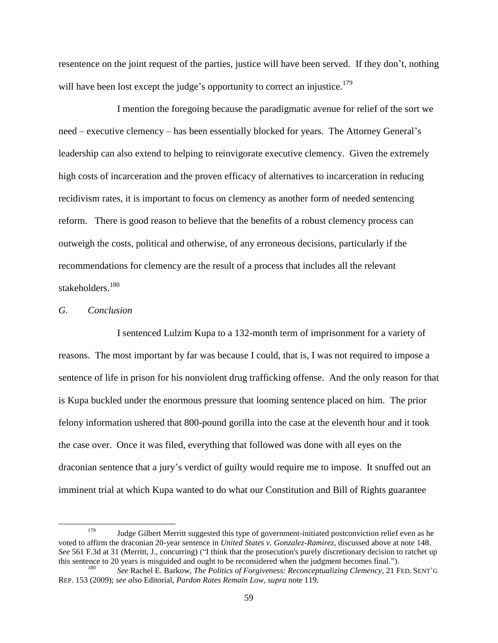resentence on the joint request of the parties, justice will have been served. If they don't, nothing will have been lost except the judge's opportunity to correct an injustice.<sup>179</sup>

I mention the foregoing because the paradigmatic avenue for relief of the sort we need – executive clemency – has been essentially blocked for years. The Attorney General's leadership can also extend to helping to reinvigorate executive clemency. Given the extremely high costs of incarceration and the proven efficacy of alternatives to incarceration in reducing recidivism rates, it is important to focus on clemency as another form of needed sentencing reform. There is good reason to believe that the benefits of a robust clemency process can outweigh the costs, political and otherwise, of any erroneous decisions, particularly if the recommendations for clemency are the result of a process that includes all the relevant stakeholders.<sup>180</sup>

#### *G. Conclusion*

l

I sentenced Lulzim Kupa to a 132-month term of imprisonment for a variety of reasons. The most important by far was because I could, that is, I was not required to impose a sentence of life in prison for his nonviolent drug trafficking offense. And the only reason for that is Kupa buckled under the enormous pressure that looming sentence placed on him. The prior felony information ushered that 800-pound gorilla into the case at the eleventh hour and it took the case over. Once it was filed, everything that followed was done with all eyes on the draconian sentence that a jury's verdict of guilty would require me to impose. It snuffed out an imminent trial at which Kupa wanted to do what our Constitution and Bill of Rights guarantee

<sup>&</sup>lt;sup>179</sup> Judge Gilbert Merritt suggested this type of government-initiated postconviction relief even as he voted to affirm the draconian 20-year sentence in *United States v. Gonzalez-Ramirez*, discussed above at not[e 148.](#page-43-0) *See* 561 F.3d at 31 (Merritt, J., concurring) ("I think that the prosecution's purely discretionary decision to ratchet up this sentence to 20 years is misguided and ought to be reconsidered when the judgment becomes final.").

<sup>180</sup> *See* Rachel E. Barkow, *The Politics of Forgiveness: Reconceptualizing Clemency*, 21 FED. SENT'<sup>G</sup> REP. 153 (2009); *see also* Editorial, *Pardon Rates Remain Low*, *supra* note [119.](#page-37-0)